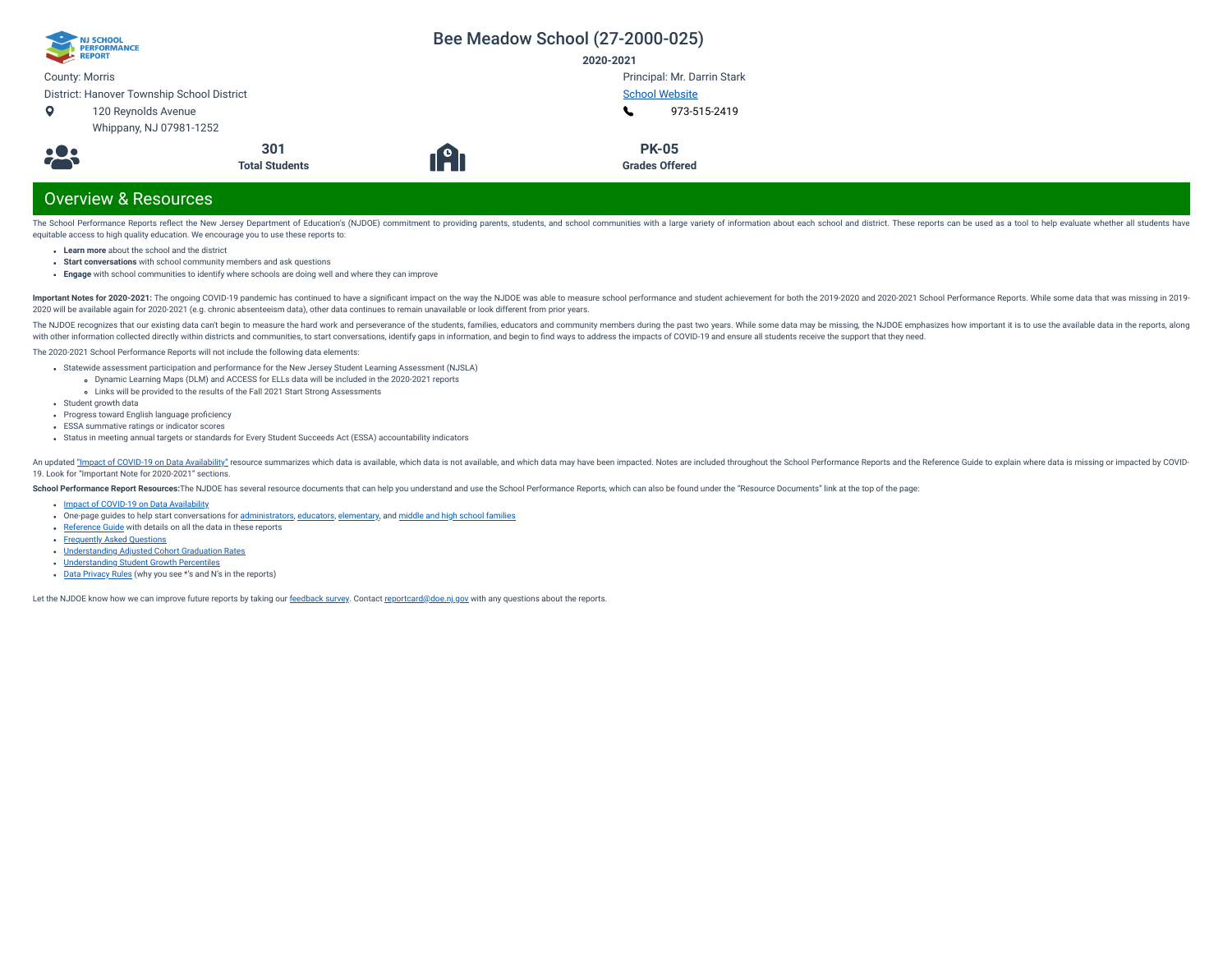| NJ SCHOOL<br>PERFORMANCE<br>REPORT         |                       |                  | Bee Meadow School (27-2000-025) |
|--------------------------------------------|-----------------------|------------------|---------------------------------|
|                                            |                       |                  | 2020-2021                       |
| <b>County: Morris</b>                      |                       |                  | Principal: Mr. Darrin Stark     |
| District: Hanover Township School District |                       |                  | <b>School Website</b>           |
| o                                          | 120 Reynolds Avenue   |                  | 973-515-2419                    |
| Whippany, NJ 07981-1252                    |                       |                  |                                 |
|                                            | 301                   |                  | <b>PK-05</b>                    |
| 28                                         | <b>Total Students</b> | 1 <sup>9</sup> 1 | <b>Grades Offered</b>           |

# Overview & Resources

The School Performance Reports reflect the New Jersey Department of Education's (NJDOE) commitment to providing parents, students, and school communities with a large variety of information about each school and district. equitable access to high quality education. We encourage you to use these reports to:

- **Learn more** about the school and the district
- **Start conversations** with school community members and ask questions
- **Engage** with school communities to identify where schools are doing well and where they can improve

Important Notes for 2020-2021: The ongoing COVID-19 pandemic has continued to have a significant impact on the way the NJDOE was able to measure school performance and student achievement for both the 2019-2020 and 2020-20 2020 will be available again for 2020-2021 (e.g. chronic absenteeism data), other data continues to remain unavailable or look different from prior years.

The NJDOE recognizes that our existing data can't begin to measure the hard work and perseverance of the students, families, educators and community members during the past two years. While some data may be missing, the NJ with other information collected directly within districts and communities, to start conversations, identify gaps in information, and begin to find ways to address the impacts of COVID-19 and ensure all students receive th

The 2020-2021 School Performance Reports will not include the following data elements:

- Statewide assessment participation and performance for the New Jersey Student Learning Assessment (NJSLA)
	- Dynamic Learning Maps (DLM) and ACCESS for ELLs data will be included in the 2020-2021 reports
- Links will be provided to the results of the Fall 2021 Start Strong Assessments
- Student growth data
- Progress toward English language proficiency
- ESSA summative ratings or indicator scores
- Status in meeting annual targets or standards for Every Student Succeeds Act (ESSA) accountability indicators

An updated "Impact of [COVID-19 on](https://www.nj.gov/education/schoolperformance/resources/docs/2020-21_SchoolPerformanceReports_ImpactOf_COVID-19_on_DataAvailability.pdf) Data Availability" resource summarizes which data is available, which data is available, which data is not available, and which data is may have been impacted. Notes are included throughou 19. Look for "Important Note for 2020-2021" sections.

School Performance Report Resources: The NJDOE has several resource documents that can help you understand and use the School Performance Reports, which can also be found under the "Resource Documents" link at the top of t

- Impact of [COVID-19 on](https://www.nj.gov/education/schoolperformance/resources/docs/2020-21_SchoolPerformanceReports_ImpactOf_COVID-19_on_DataAvailability.pdf) Data Availability
- one-page guides to help start conversations for [administrators,](https://www.nj.gov/education/schoolperformance/resources/docs/2020-21_SchoolPerformanceReports_GuideForAdministrators.pdf) [educators](https://www.nj.gov/education/schoolperformance/resources/docs/2020-21_SchoolPerformanceReports_GuideForEducators.pdf), [elementary,](https://www.nj.gov/education/schoolperformance/resources/docs/2020-21_SchoolPerformanceReports_GuideForElementaryFamilies.pdf) and middle and high school [families](https://www.nj.gov/education/schoolperformance/resources/docs/2020-21_SchoolPerformanceReports_GuideForMiddle_and_HighSchoolFamilies.pdf)
- [Reference](https://navilp7rg08njprsharedst.blob.core.windows.net/perf-reports-ct/Documents/2021/ReferenceGuide.pdf) Guide with details on all the data in these reports
- **[Frequently](https://navilp7rg08njprsharedst.blob.core.windows.net/perf-reports-ct/Documents/2021/FAQs.pdf) Asked Questions**
- [Understanding](https://www.nj.gov/education/schoolperformance/grad/docs/Understanding%20Adjusted%20Cohort%20Graduation%20Rates.pdf) Adjusted Cohort Graduation Rates
- [Understanding](https://www.nj.gov/education/schoolperformance/growth/Understanding%20Median%20Student%20Growth%20Percentiles.pdf) Student Growth Percentiles
- Data [Privacy](https://navilp7rg08njprsharedst.blob.core.windows.net/perf-reports-ct/Documents/2021//DataPrivacyRules.pdf) Rules (why you see \*'s and N's in the reports)

Let the NJDOE know how we can improve future reports by taking our [feedback](https://www.surveymonkey.com/r/2020-21SPR) survey. Contact [reportcard@doe.nj.gov](mailto:reportcard@doe.nj.gov) with any questions about the reports.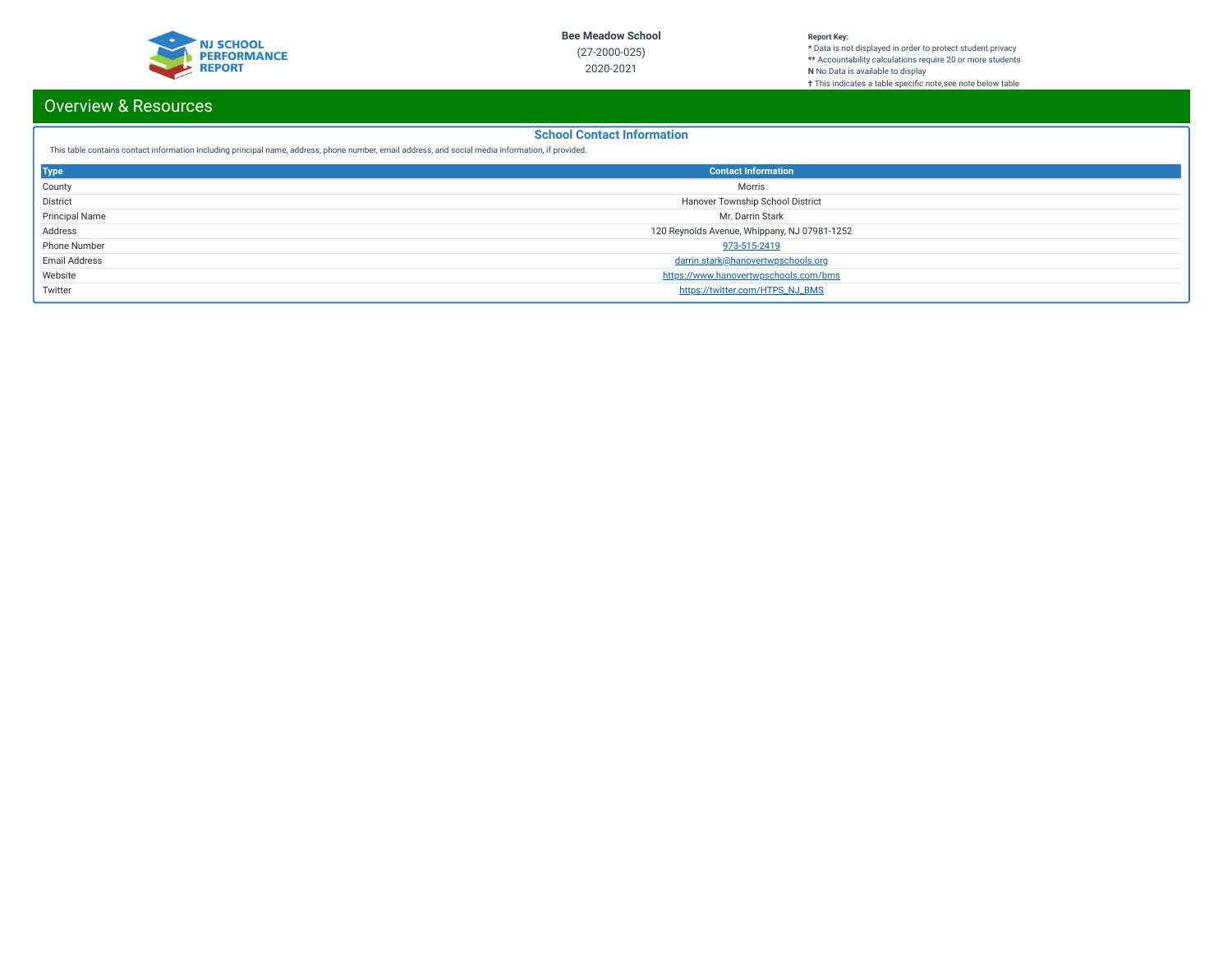

### **Report Key:**

**\*** Data is not displayed in order to protect student privacy **\*\*** Accountability calculations require 20 or more students **N** No Data is available to display **†** This indicates a table specic note,see note below table

# Overview & Resources

## **School Contact Information**

This table contains contact information including principal name, address, phone number, email address, and social media information, if provided.

| <b>Type</b>           | <b>Contact Information</b>                   |
|-----------------------|----------------------------------------------|
| County                | Morris                                       |
| District              | Hanover Township School District             |
| <b>Principal Name</b> | Mr. Darrin Stark                             |
| Address               | 120 Reynolds Avenue, Whippany, NJ 07981-1252 |
| Phone Number          | 973-515-2419                                 |
| <b>Email Address</b>  | darrin.stark@hanovertwpschools.org           |
| Website               | https://www.hanovertwpschools.com/bms        |
| Twitter               | https://twitter.com/HTPS_NJ_BMS              |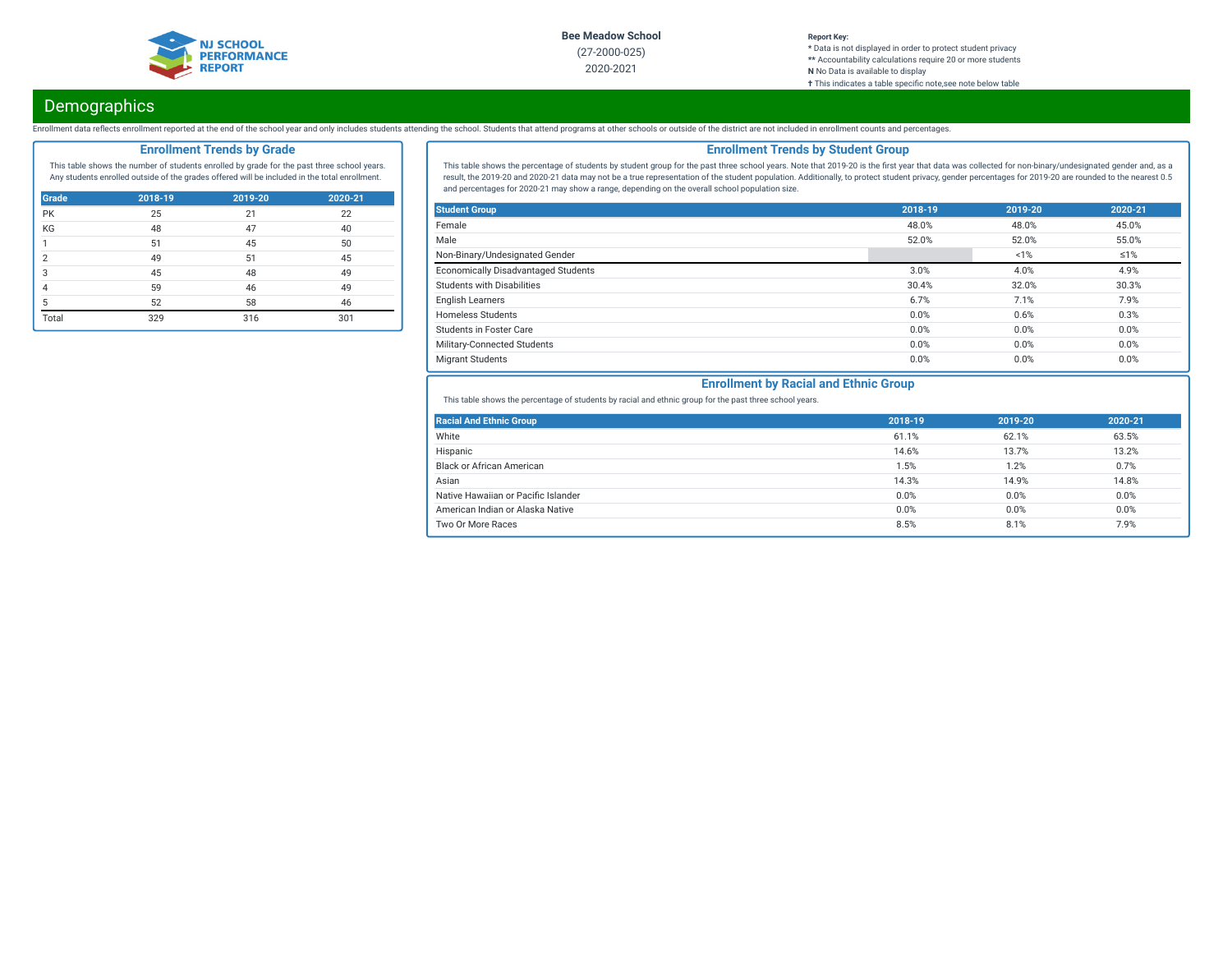

2020-2021

#### **Report Key: \*** Data is not displayed in order to protect student privacy **\*\*** Accountability calculations require 20 or more students **N** No Data is available to display **†** This indicates a table specific note, see note below table

# **Demographics**

Enrollment data reflects enrollment reported at the end of the school year and only includes students attending the school. Students that attend programs at other schools or outside of the district are not included in enro

## **Enrollment Trends by Grade**

This table shows the number of students enrolled by grade for the past three school years. Any students enrolled outside of the grades offered will be included in the total enrollment.

| <b>Grade</b> | 2018-19 | 2019-20 | 2020-21 |
|--------------|---------|---------|---------|
| PK           | 25      | 21      | 22      |
| KG           | 48      | 47      | 40      |
| 1            | 51      | 45      | 50      |
| 2            | 49      | 51      | 45      |
| 3            | 45      | 48      | 49      |
| 4            | 59      | 46      | 49      |
| 5            | 52      | 58      | 46      |
| Total        | 329     | 316     | 301     |

## **Enrollment Trends by Student Group**

This table shows the percentage of students by student group for the past three school years. Note that 2019-20 is the first year that data was collected for non-binary/undesignated gender and, as a result, the 2019-20 and 2020-21 data may not be a true representation of the student population. Additionally, to protect student privacy, gender percentages for 2019-20 are rounded to the nearest 0.5 and percentages for 2020-21 may show a range, depending on the overall school population size.

| <b>Student Group</b>                       | 2018-19 | 2019-20 | 2020-21    |
|--------------------------------------------|---------|---------|------------|
| Female                                     | 48.0%   | 48.0%   | 45.0%      |
| Male                                       | 52.0%   | 52.0%   | 55.0%      |
| Non-Binary/Undesignated Gender             |         | 1%      | $\leq 1\%$ |
| <b>Economically Disadvantaged Students</b> | 3.0%    | 4.0%    | 4.9%       |
| Students with Disabilities                 | 30.4%   | 32.0%   | 30.3%      |
| <b>English Learners</b>                    | 6.7%    | 7.1%    | 7.9%       |
| <b>Homeless Students</b>                   | 0.0%    | 0.6%    | 0.3%       |
| <b>Students in Foster Care</b>             | 0.0%    | 0.0%    | 0.0%       |
| Military-Connected Students                | 0.0%    | 0.0%    | 0.0%       |
| <b>Migrant Students</b>                    | 0.0%    | 0.0%    | 0.0%       |

## **Enrollment by Racial and Ethnic Group**

This table shows the percentage of students by racial and ethnic group for the past three school years.

| <b>Racial And Ethnic Group</b>      | 2018-19 | 2019-20 | 2020-21 |
|-------------------------------------|---------|---------|---------|
| White                               | 61.1%   | 62.1%   | 63.5%   |
| Hispanic                            | 14.6%   | 13.7%   | 13.2%   |
| <b>Black or African American</b>    | 1.5%    | 1.2%    | 0.7%    |
| Asian                               | 14.3%   | 14.9%   | 14.8%   |
| Native Hawaiian or Pacific Islander | 0.0%    | 0.0%    | 0.0%    |
| American Indian or Alaska Native    | 0.0%    | 0.0%    | 0.0%    |
| Two Or More Races                   | 8.5%    | 8.1%    | 7.9%    |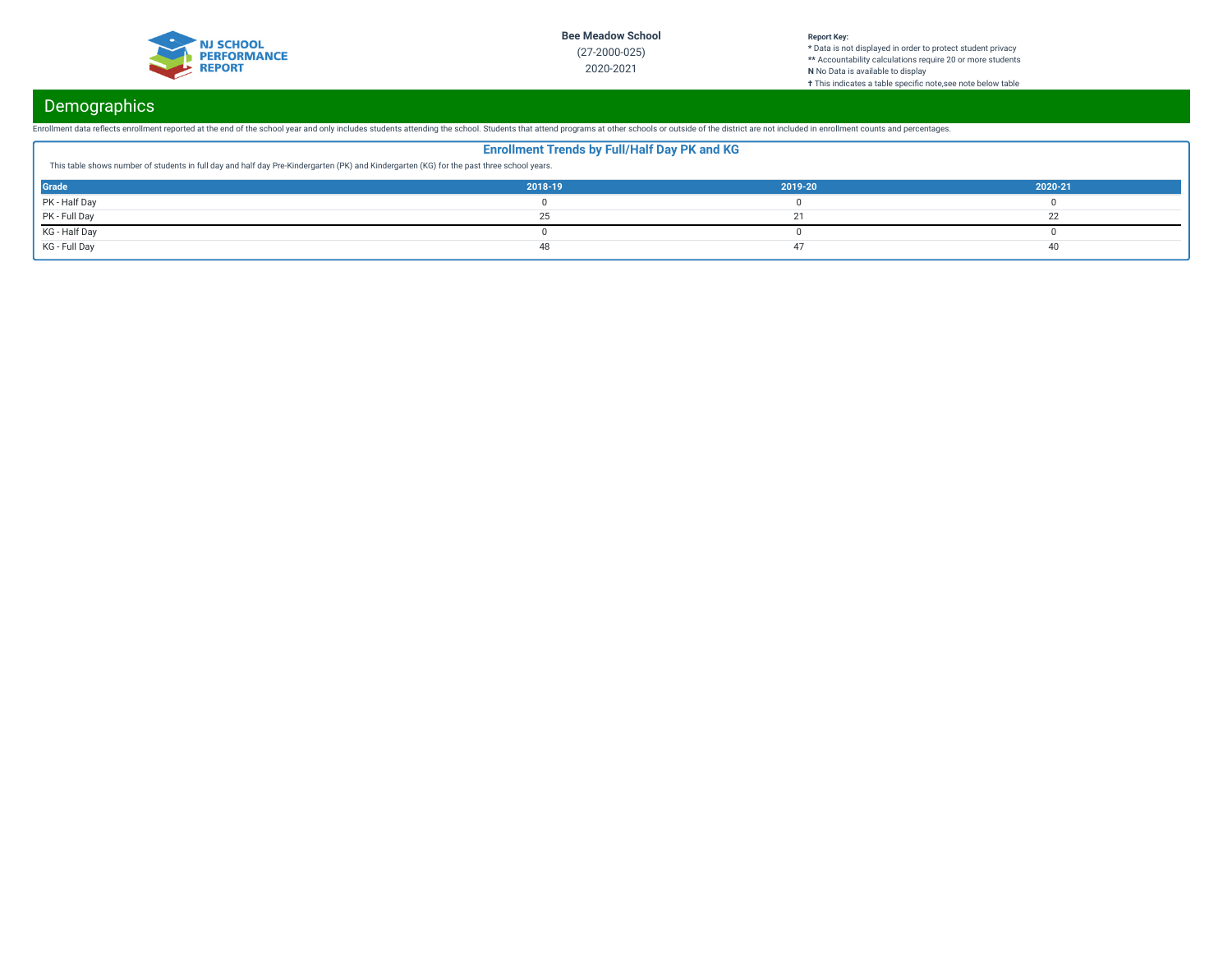

### **Report Key:**

**\*** Data is not displayed in order to protect student privacy **\*\*** Accountability calculations require 20 or more students **N** No Data is available to display **†** This indicates a table specic note,see note below table

# **Demographics**

Enrollment data reflects enrollment reported at the end of the school year and only includes students attending the school. Students that attend programs at other schools or outside of the district are not included in enro

|                                                                                                                                           | <b>Enrollment Trends by Full/Half Day PK and KG</b> |         |         |
|-------------------------------------------------------------------------------------------------------------------------------------------|-----------------------------------------------------|---------|---------|
| This table shows number of students in full day and half day Pre-Kindergarten (PK) and Kindergarten (KG) for the past three school years. |                                                     |         |         |
| <b>Grade</b>                                                                                                                              | 2018-19                                             | 2019-20 | 2020-21 |
| PK - Half Day                                                                                                                             |                                                     |         |         |
| PK - Full Day                                                                                                                             |                                                     |         |         |
| KG - Half Day                                                                                                                             |                                                     |         |         |
| KG - Full Day                                                                                                                             |                                                     |         |         |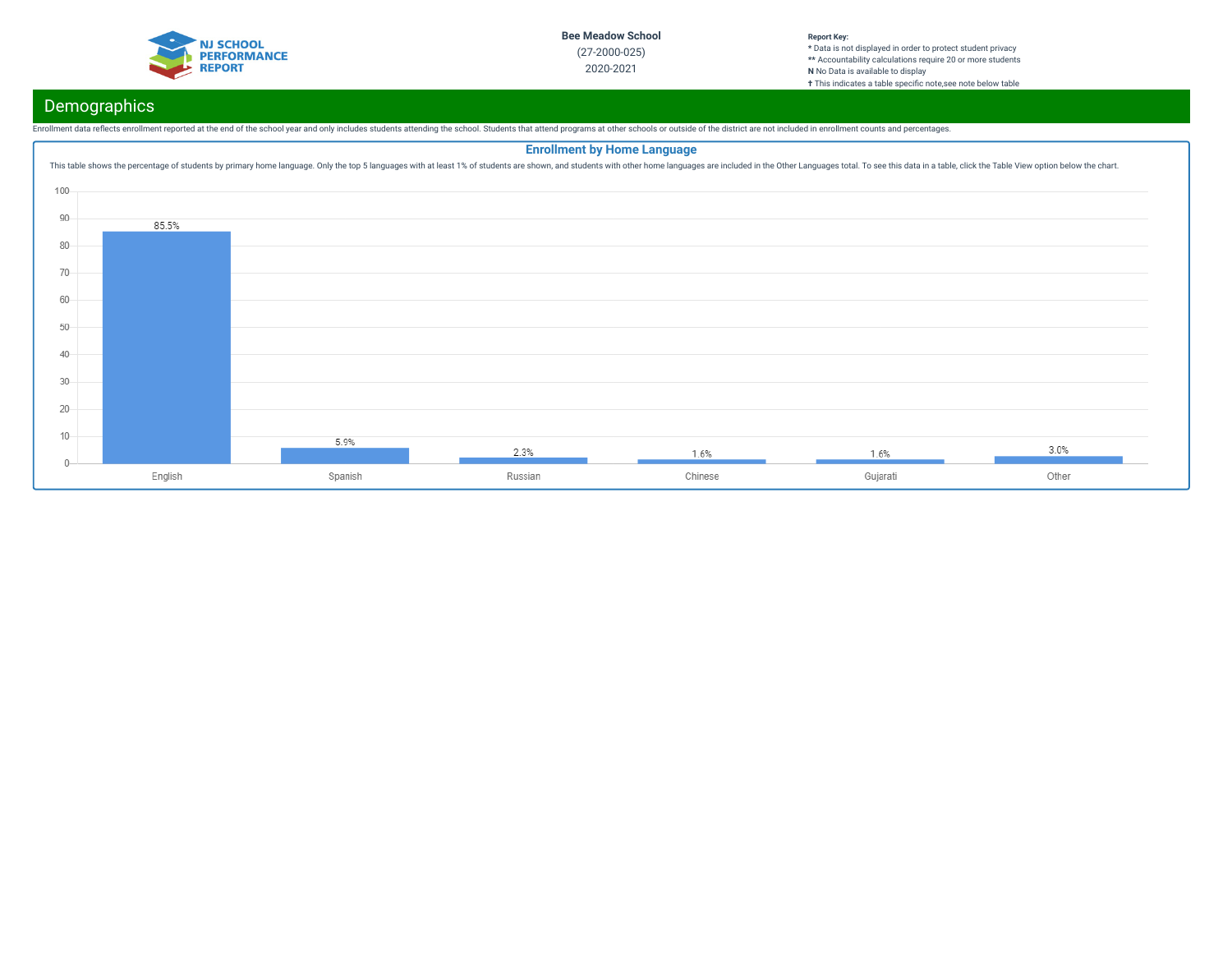

#### **Report Key: \*** Data is not displayed in order to protect student privacy **\*\*** Accountability calculations require 20 or more students **N** No Data is available to display **†** This indicates a table specific note, see note below table

# Demographics

Enrollment data reflects enrollment reported at the end of the school year and only includes students attending the school. Students that attend programs at other schools or outside of the district are not included in enro

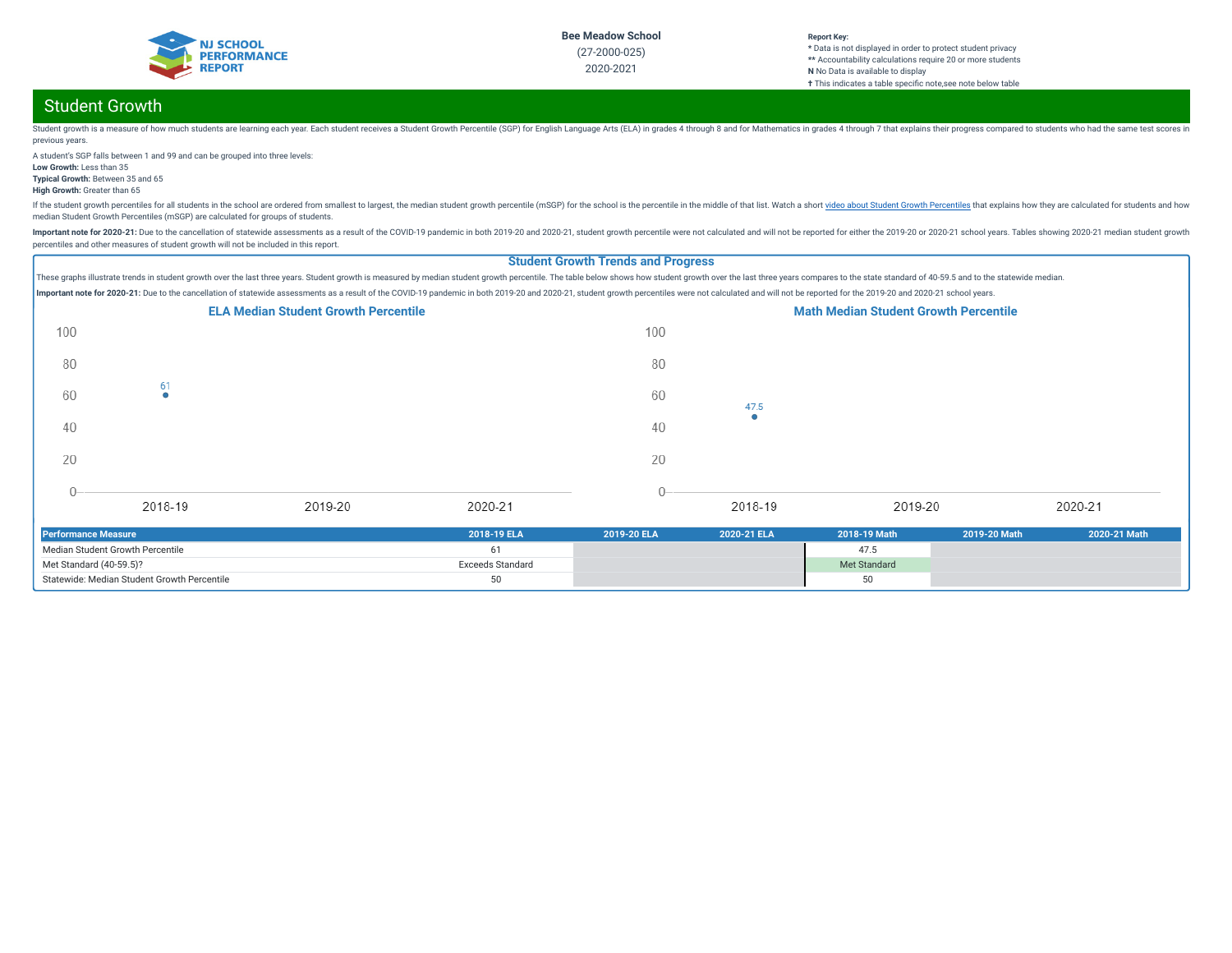

#### **Report Key: \*** Data is not displayed in order to protect student privacy **\*\*** Accountability calculations require 20 or more students **N** No Data is available to display **†** This indicates a table specific note, see note below table

# Student Growth

Student growth is a measure of how much students are learning each year. Each student receives a Student crowth Percentile (SGP) for English Language Arts (ELA) in grades 4 through 8 and for Mathematics in grades 4 through previous years.

A student's SGP falls between 1 and 99 and can be grouped into three levels: **Low Growth:** Less than 35

**Typical Growth:** Between 35 and 65

**High Growth:** Greater than 65

If the student growth percentiles for all students in the school are ordered from smallest to largest, the median student growth percentile (mSGP) for the school is the percentile in the middle of that list. Watch a short median Student Growth Percentiles (mSGP) are calculated for groups of students.

Important note for 2020-21: Due to the cancellation of statewide assessments as a result of the COVID-19 pandemic in both 2019-20 and 2020-21, student growth percentile were not calculated and will not be reported for eith percentiles and other measures of student growth will not be included in this report.

## **Student Growth Trends and Progress**

These graphs illustrate trends in student growth over the last three years. Student growth is measured by median student growth percentile. The table below shows how student growth over the last three years compares to the Important note for 2020-21: Due to the cancellation of statewide assessments as a result of the COVID-19 pandemic in both 2019-20 and 2020-21, student growth percentiles were not calculated and will not be reported for the



| Performance Measure                         | 2018-19 ELA      | 2019-20 ELA | 2020-21 ELA | 2018-19 Math | 2019-20 Math | 2020-21 Math |
|---------------------------------------------|------------------|-------------|-------------|--------------|--------------|--------------|
| Median Student Growth Percentile            |                  |             |             | 47.5         |              |              |
| Met Standard (40-59.5)?                     | Exceeds Standard |             |             | Met Standard |              |              |
| Statewide: Median Student Growth Percentile |                  |             |             | 50           |              |              |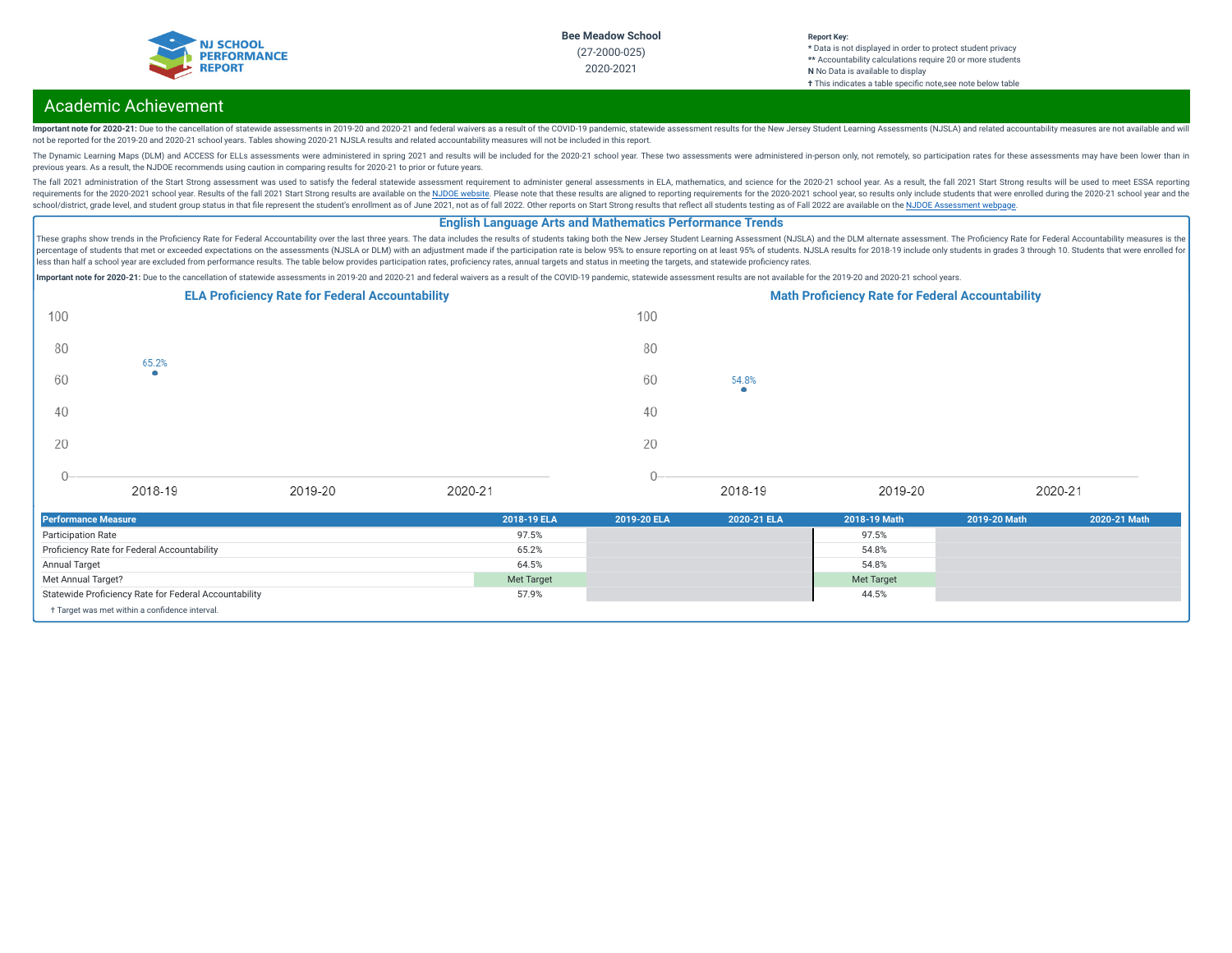

#### **Report Key: \*** Data is not displayed in order to protect student privacy **\*\*** Accountability calculations require 20 or more students **N** No Data is available to display **†** This indicates a table specific note, see note below table

# Academic Achievement

Important note for 2020-21: Due to the cancellation of statewide assessments in 2019-20 and 2020-21 and federal waivers as a result of the COVID-19 pandemic, statewide assessment results for the New Jersey Student Learning not be reported for the 2019-20 and 2020-21 school years. Tables showing 2020-21 NJSLA results and related accountability measures will not be included in this report.

The Dynamic Learning Maps (DLM) and ACCESS for ELLs assessments were administered in spring 2021 and results will be included for the 2020-21 school year. These two assessments were administered in-person only, not remotel previous years. As a result, the NJDOE recommends using caution in comparing results for 2020-21 to prior or future years.

The fall 2021 administration of the Start Strong assessment was used to satisfy the federal statewide assessment requirement to administer general assessments in ELA, mathematics, and science for the 2020-21 school year. A requirements for the 2020-2021 school year. Results of the fall 2021 Start Strong results are available on the NJDOE [website](https://www.state.nj.us/education/title1/accountability/progress/21/). Please note that these results are aligned to reporting requirements for the 2020-2021 school ye school/district, grade level, and student group status in that file represent the student's enrollment as of June 2021, not as of fall 2022. Other reports on Start Strong results that reflect all students testing as of Fal

### **English Language Arts and Mathematics Performance Trends**

These graphs show trends in the Proficiency Rate for Federal Accountability over the last three years. The data includes the results of students taking both the New Jersey Student Learning Assessment (NJSLA) and the DLM al percentage of students that met or exceeded expectations on the assessments (NJSLA or DLM) with an adjustment made if the participation rate is below 95% to ensure reporting on at least 95% of students. NJSLA results for 2 less than half a school year are excluded from performance results. The table below provides participation rates, proficiency rates, annual targets and status in meeting the targets, and statewide proficiency rates.

Important note for 2020-21: Due to the cancellation of statewide assessments in 2019-20 and 2020-21 and federal waivers as a result of the COVID-19 pandemic, statewide assessment results are not available for the 2019-20 a



| <b>Performance Measure</b>                            | 2018-19 ELA       | 2019-20 ELA | 2020-21 ELA | 2018-19 Math      | 2019-20 Math | 2020-21 Math |
|-------------------------------------------------------|-------------------|-------------|-------------|-------------------|--------------|--------------|
| <b>Participation Rate</b>                             | 97.5%             |             |             | 97.5%             |              |              |
| Proficiency Rate for Federal Accountability           | 65.2%             |             |             | 54.8%             |              |              |
| Annual Target                                         | 64.5%             |             |             | 54.8%             |              |              |
| Met Annual Target?                                    | <b>Met Target</b> |             |             | <b>Met Target</b> |              |              |
| Statewide Proficiency Rate for Federal Accountability | 57.9%             |             |             | 44.5%             |              |              |
| + Target was met within a confidence interval.        |                   |             |             |                   |              |              |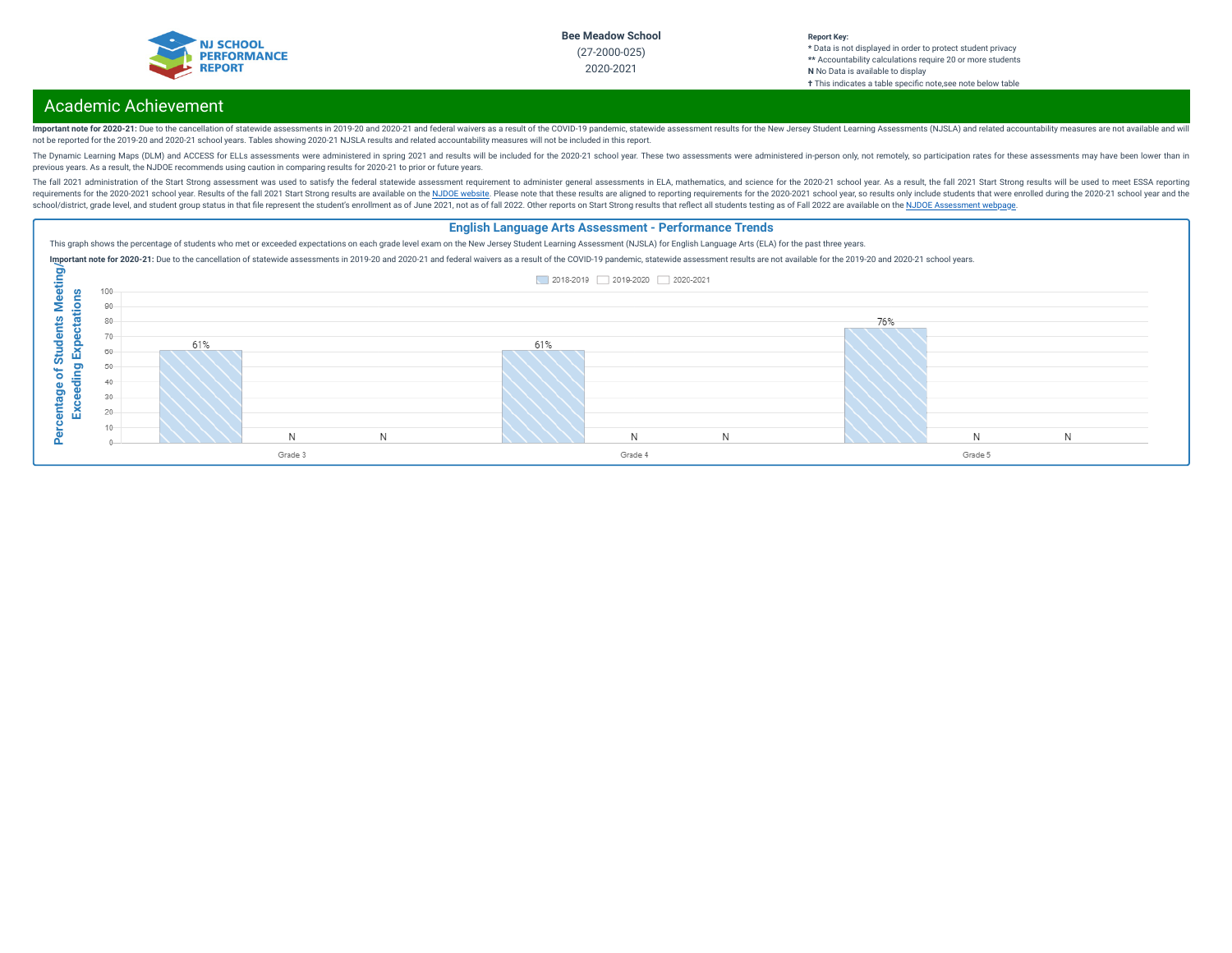

#### **Report Key: \*** Data is not displayed in order to protect student privacy **\*\*** Accountability calculations require 20 or more students **N** No Data is available to display **†** This indicates a table specic note,see note below table

# Academic Achievement

Important note for 2020-21: Due to the cancellation of statewide assessments in 2019-20 and 2020-21 and federal waivers as a result of the COVID-19 pandemic, statewide assessment results for the New Jersey Student Learning not be reported for the 2019-20 and 2020-21 school years. Tables showing 2020-21 NJSLA results and related accountability measures will not be included in this report.

The Dynamic Learning Maps (DLM) and ACCESS for ELLs assessments were administered in spring 2021 and results will be included for the 2020-21 school year. These two assessments were administered in-person only, not remotel previous years. As a result, the NJDOE recommends using caution in comparing results for 2020-21 to prior or future years.

The fall 2021 administration of the Start Strong assessment was used to satisfy the federal statewide assessment requirement to administer general assessments in ELA, mathematics, and science for the 2020-21 school year. A requirements for the 2020-2021 school year. Results of the fall 2021 Start Strong results are available on the NJDOE [website](https://www.state.nj.us/education/title1/accountability/progress/21/). Please note that these results are aligned to reporting requirements for the 2020-2021 school ye school/district, grade level, and student group status in that file represent the student's enrollment as of June 2021, not as of fall 2022. Other reports on Start Strong results that reflect all students testing as of Fal

#### **English Language Arts Assessment - Performance Trends** This graph shows the percentage of students who met or exceeded expectations on each grade level exam on the New Jersey Student Learning Assessment (NJSLA) for English Language Arts (ELA) for the past three years. Important note for 2020-21: Due to the cancellation of statewide assessments in 2019-20 and 2020-21 and federal waivers as a result of the COVID-19 pandemic, statewide assessment results are not available for the 2019-20 a **Percentage of Students Meeting/** of Students Meeting 2018-2019 2019-2020 2020-2021  $100 -$ **Exceeding Expectations Exceeding Expectations**90 80 76% 70 61% 61% 60 50 40 Percentage  $30 20 -$ 10 N  $\mathbb N$  $\mathbb N$ N N N  $\Omega$ Grade 3 Grade 4 Grade 5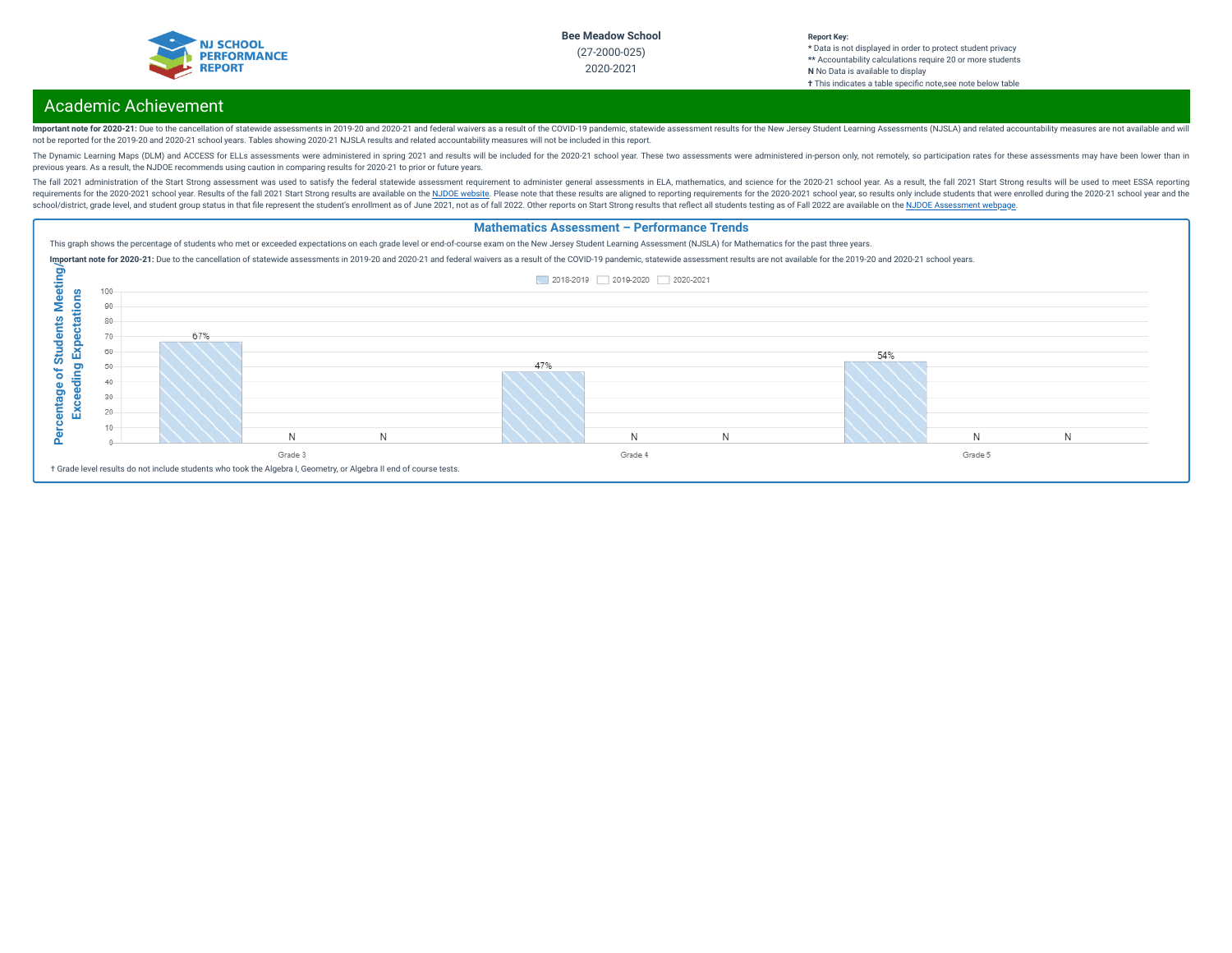

#### **Report Key: \*** Data is not displayed in order to protect student privacy **\*\*** Accountability calculations require 20 or more students **N** No Data is available to display **†** This indicates a table specific note, see note below table

# Academic Achievement

Important note for 2020-21: Due to the cancellation of statewide assessments in 2019-20 and 2020-21 and federal waivers as a result of the COVID-19 pandemic, statewide assessment results for the New Jersey Student Learning not be reported for the 2019-20 and 2020-21 school years. Tables showing 2020-21 NJSLA results and related accountability measures will not be included in this report.

The Dynamic Learning Maps (DLM) and ACCESS for ELLs assessments were administered in spring 2021 and results will be included for the 2020-21 school year. These two assessments were administered in-person only, not remotel previous years. As a result, the NJDOE recommends using caution in comparing results for 2020-21 to prior or future years.

The fall 2021 administration of the Start Strong assessment was used to satisfy the federal statewide assessment requirement to administer general assessments in ELA, mathematics, and science for the 2020-21 school year. A requirements for the 2020-2021 school year. Results of the fall 2021 Start Strong results are available on the NJDOE [website](https://www.state.nj.us/education/title1/accountability/progress/21/). Please note that these results are aligned to reporting requirements for the 2020-2021 school ye school/district, grade level, and student group status in that file represent the student's enrollment as of June 2021, not as of fall 2022. Other reports on Start Strong results that reflect all students testing as of Fal

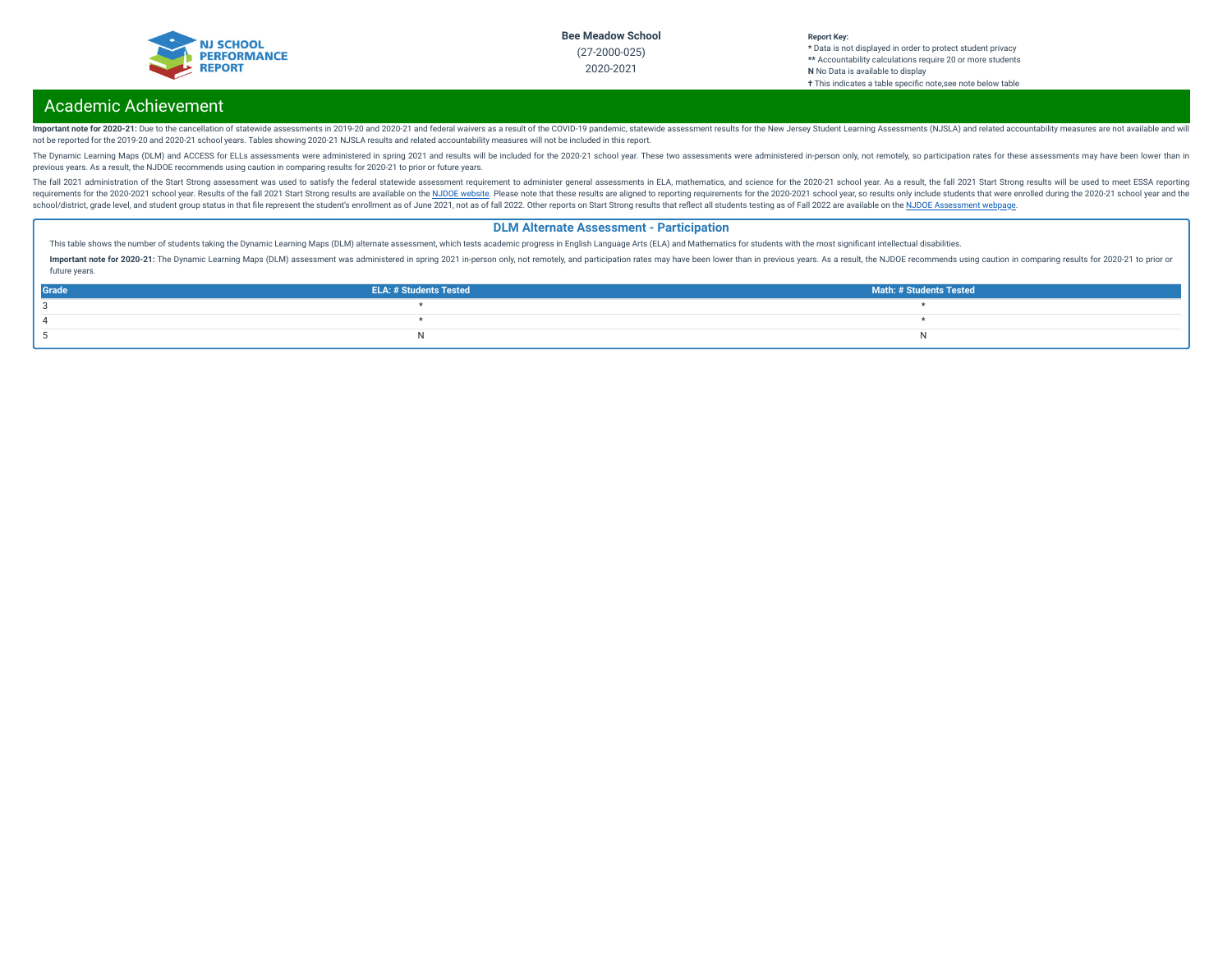

#### **Report Key: \*** Data is not displayed in order to protect student privacy **\*\*** Accountability calculations require 20 or more students **N** No Data is available to display **†** This indicates a table specic note,see note below table

# Academic Achievement

Important note for 2020-21: Due to the cancellation of statewide assessments in 2019-20 and 2020-21 and federal waivers as a result of the COVID-19 pandemic, statewide assessment results for the New Jersey Student Learning not be reported for the 2019-20 and 2020-21 school years. Tables showing 2020-21 NJSLA results and related accountability measures will not be included in this report.

The Dynamic Learning Maps (DLM) and ACCESS for ELLs assessments were administered in spring 2021 and results will be included for the 2020-21 school year. These two assessments were administered in-person only, not remotel previous years. As a result, the NJDOE recommends using caution in comparing results for 2020-21 to prior or future years.

The fall 2021 administration of the Start Strong assessment was used to satisfy the federal statewide assessment requirement to administer general assessments in ELA, mathematics, and science for the 2020-21 school year. A requirements for the 2020-2021 school year. Results of the fall 2021 Start Strong results are available on the NJDOE [website](https://www.state.nj.us/education/title1/accountability/progress/21/). Please note that these results are aligned to reporting requirements for the 2020-2021 school ye school/district, grade level, and student group status in that file represent the student's enrollment as of June 2021, not as of fall 2022. Other reports on Start Strong results that reflect all students testing as of Fal

### **DLM Alternate Assessment - Participation**

This table shows the number of students taking the Dynamic Learning Maps (DLM) alternate assessment, which tests academic progress in English Language Arts (ELA) and Mathematics for students with the most significant intel

Important note for 2020-21: The Dynamic Learning Maps (DLM) assessment was administered in spring 2021 in-person only, not remotely, and participation rates may have been lower than in previous years. As a result, the NJDO future years.

| Grade | <b>ELA: # Students Tested</b> | <b>Math: # Students Tested</b> |
|-------|-------------------------------|--------------------------------|
|       |                               |                                |
|       |                               |                                |
|       |                               |                                |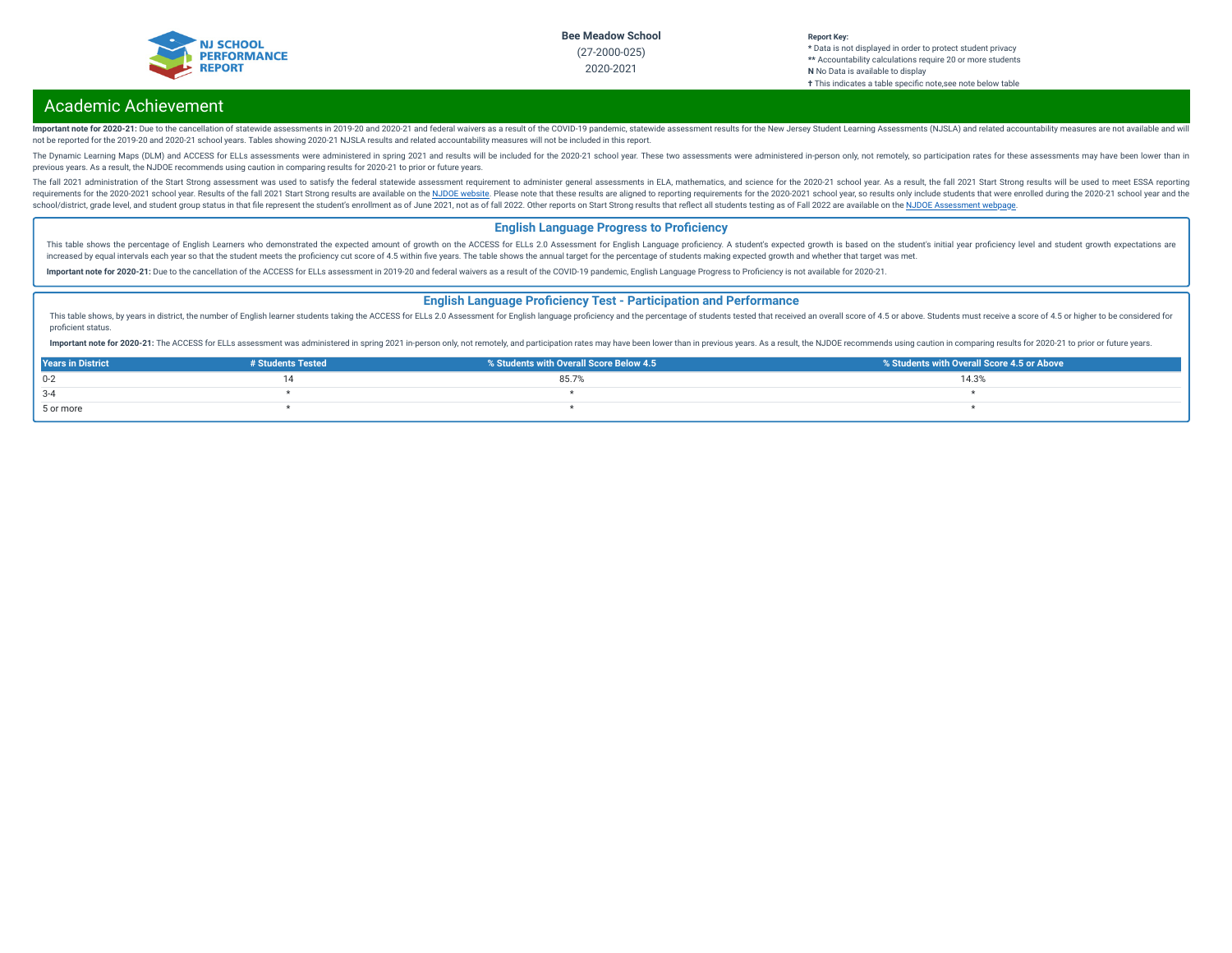

#### **Report Key: \*** Data is not displayed in order to protect student privacy **\*\*** Accountability calculations require 20 or more students **N** No Data is available to display **†** This indicates a table specific note, see note below table

# Academic Achievement

Important note for 2020-21: Due to the cancellation of statewide assessments in 2019-20 and 2020-21 and federal waivers as a result of the COVID-19 pandemic, statewide assessment results for the New Jersey Student Learning not be reported for the 2019-20 and 2020-21 school years. Tables showing 2020-21 NJSLA results and related accountability measures will not be included in this report.

The Dynamic Learning Maps (DLM) and ACCESS for ELLs assessments were administered in spring 2021 and results will be included for the 2020-21 school year. These two assessments were administered in-person only, not remotel previous years. As a result, the NJDOE recommends using caution in comparing results for 2020-21 to prior or future years.

The fall 2021 administration of the Start Strong assessment was used to satisfy the federal statewide assessment requirement to administer general assessments in ELA, mathematics, and science for the 2020-21 school year. A requirements for the 2020-2021 school year. Results of the fall 2021 Start Strong results are available on the NJDOE [website](https://www.state.nj.us/education/title1/accountability/progress/21/). Please note that these results are aligned to reporting requirements for the 2020-2021 school ye school/district, grade level, and student group status in that file represent the student's enrollment as of June 2021, not as of fall 2022. Other reports on Start Strong results that reflect all students testing as of Fal

### **English Language Progress to Proficiency**

This table shows the percentage of English Learners who demonstrated the expected amount of growth on the ACCESS for ELLs 2.0 Assessment for English Language proficiency. A student's expected growth is based on the student increased by equal intervals each year so that the student meets the proficiency cut score of 4.5 within five years. The table shows the annual target for the percentage of students making expected growth and whether that

Important note for 2020-21: Due to the cancellation of the ACCESS for ELLs assessment in 2019-20 and federal waivers as a result of the COVID-19 pandemic, English Language Progress to Proficiency is not available for 2020-

### **English Language Proficiency Test - Participation and Performance**

This table shows, by years in district, the number of English learner students taking the ACCESS for ELLs 2.0 Assessment for English language proficiency and the percentage of students tested that received an overall score proficient status.

Important note for 2020-21: The ACCESS for ELLs assessment was administered in spring 2021 in-person only, not remotely, and participation rates may have been lower than in previous years. As a result, the NJDOE recommends

| <b>Years in District</b> | # Students Tested | % Students with Overall Score Below 4.5 | % Students with Overall Score 4.5 or Above |
|--------------------------|-------------------|-----------------------------------------|--------------------------------------------|
| $0 - 2$                  |                   | 85.79                                   | 14.3%                                      |
| $3 - 4$                  |                   |                                         |                                            |
| 5 or more                |                   |                                         |                                            |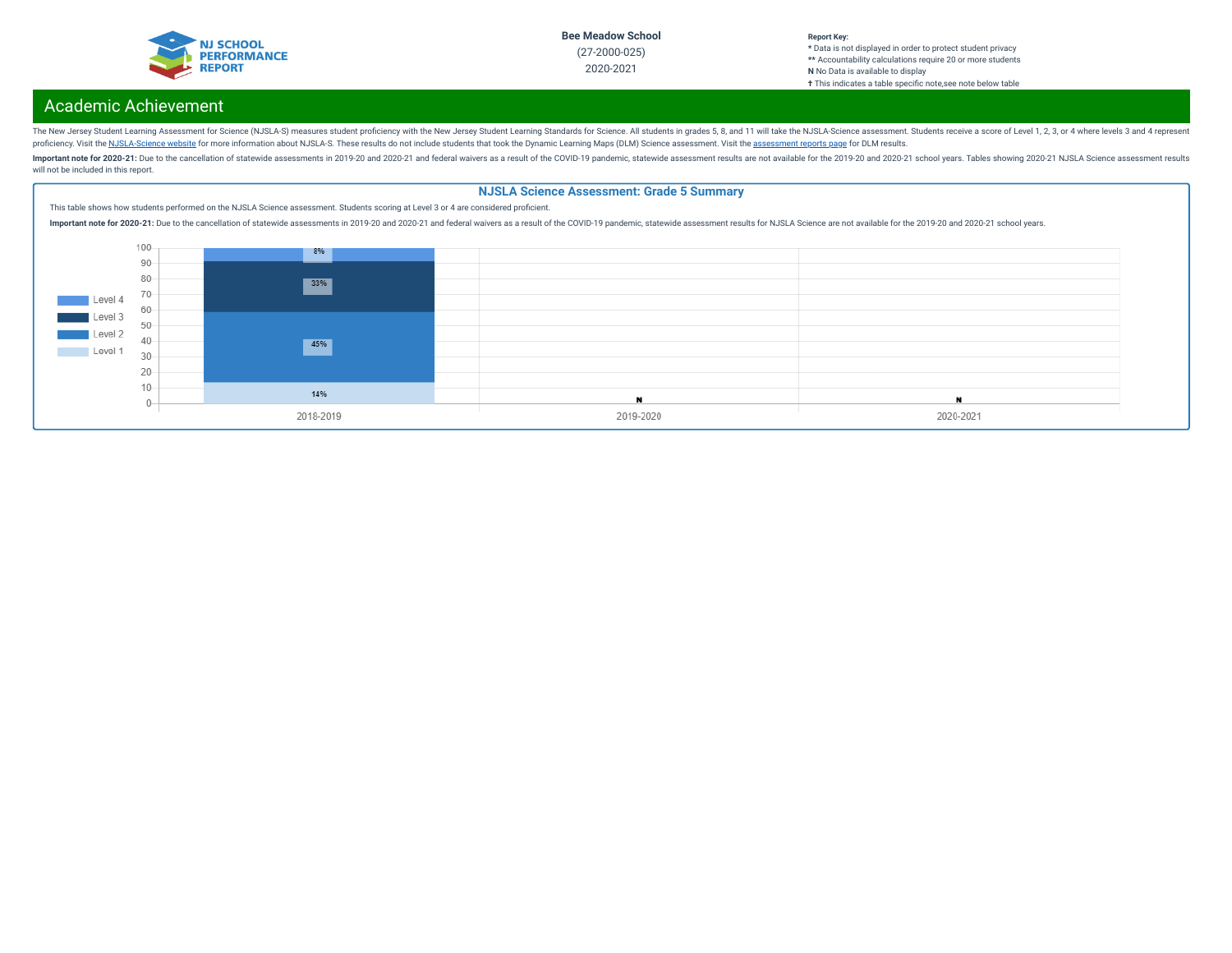

#### **Report Key: \*** Data is not displayed in order to protect student privacy **\*\*** Accountability calculations require 20 or more students **N** No Data is available to display **†** This indicates a table specic note,see note below table

# Academic Achievement

The New Jersey Student Learning Assessment for Science (NJSLA-S) measures student proficiency with the New Jersey Student Learning Standards for Science. All students in grades 5, 8, and 11 will take the NJSLA-Science asse proficiency. Visit the [NJSLA-Science](https://www.nj.gov/education/assessment/resources/science/) website for more information about NJSLA-S. These results do not include students that took the Dynamic Learning Maps (DLM) Science [assessment](https://www.nj.gov/education/schools/achievement/). Visit the assessment reports page for DLM

Important note for 2020-21: Due to the cancellation of statewide assessments in 2019-20 and 2020-21 and federal waivers as a result of the COVID-19 pandemic, statewide assessment results are not available for the 2019-20 a will not be included in this report.

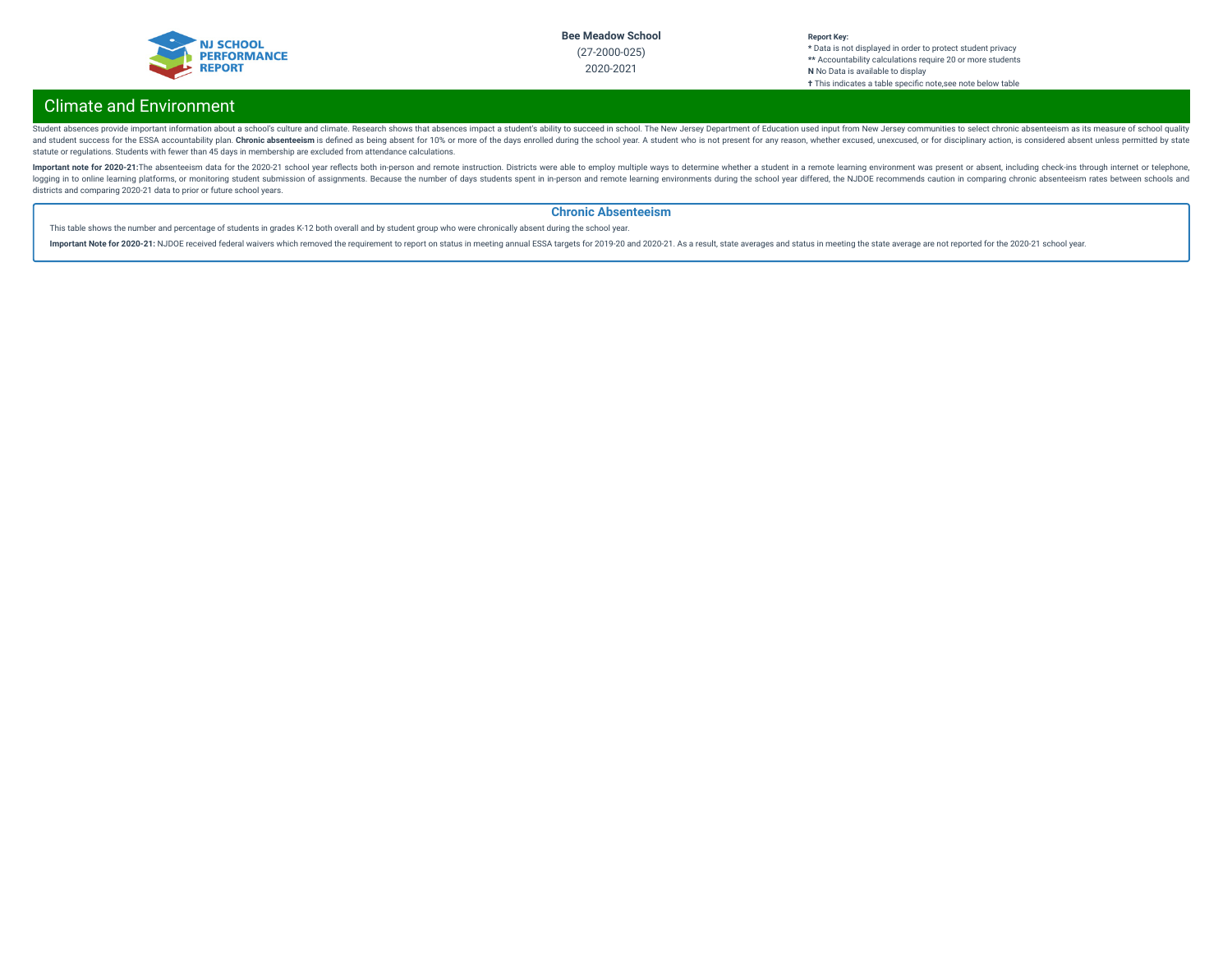

#### **Report Key: \*** Data is not displayed in order to protect student privacy **\*\*** Accountability calculations require 20 or more students **N** No Data is available to display **†** This indicates a table specic note,see note below table

# Climate and Environment

Student absences provide important information about a school's culture and climate. Research shows that absences impact a student's ability to succeed in school. The New Jersey Department of Education used input from New and student success for the ESSA accountability plan. Chronic absenteeism is defined as being absent for 10% or more of the days enrolled during the school year. A student who is not present for any reason, whether excused statute or regulations. Students with fewer than 45 days in membership are excluded from attendance calculations.

Important note for 2020-21:The absenteeism data for the 2020-21 school year reflects both in-person and remote instruction. Districts were able to employ multiple ways to determine whether a student in a remote learning en logging in to online learning platforms, or monitoring student submission of assignments. Because the number of days students spent in in-person and remote learning environments during the school year differed, the NJDOE r districts and comparing 2020-21 data to prior or future school years.

### **Chronic Absenteeism**

This table shows the number and percentage of students in grades K-12 both overall and by student group who were chronically absent during the school year.

Important Note for 2020-21: NJDOE received federal waivers which removed the requirement to report on status in meeting annual ESSA targets for 2019-20 and 2020-21. As a result, state averages and status in meeting the sta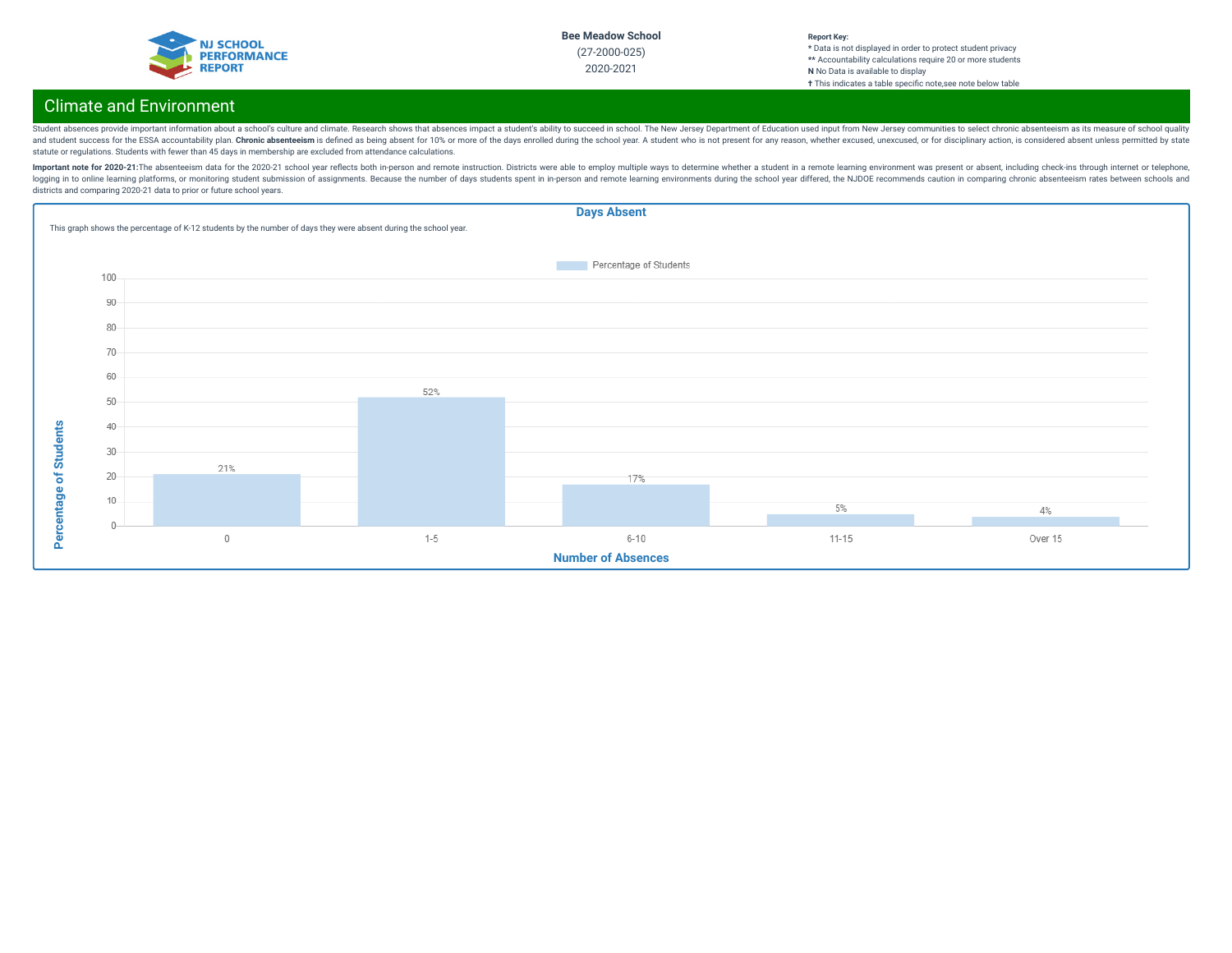

#### **Report Key: \*** Data is not displayed in order to protect student privacy **\*\*** Accountability calculations require 20 or more students **N** No Data is available to display **†** This indicates a table specic note,see note below table

# Climate and Environment

Student absences provide important information about a school's culture and climate. Research shows that absences impact a student's ability to succeed in school. The New Jersey Department of Education used input from New and student success for the ESSA accountability plan. Chronic absenteeism is defined as being absent for 10% or more of the days enrolled during the school year. A student who is not present for any reason, whether excused statute or regulations. Students with fewer than 45 days in membership are excluded from attendance calculations.

Important note for 2020-21:The absenteeism data for the 2020-21 school year reflects both in-person and remote instruction. Districts were able to employ multiple ways to determine whether a student in a remote learning en logging in to online learning platforms, or monitoring student submission of assignments. Because the number of days students spent in in-person and remote learning environments during the school year differed, the NJDOE r districts and comparing 2020-21 data to prior or future school years.

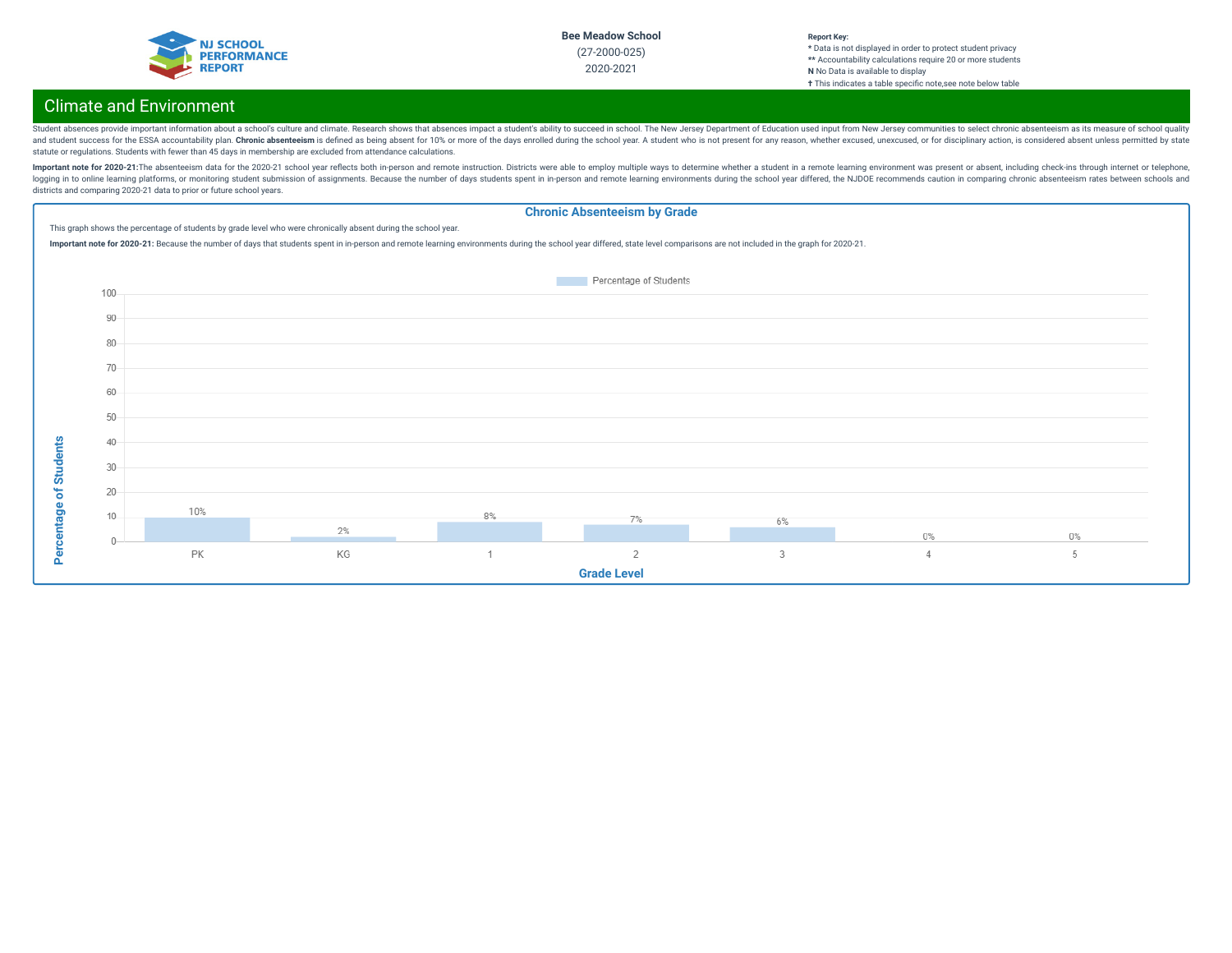

#### **Report Key: \*** Data is not displayed in order to protect student privacy **\*\*** Accountability calculations require 20 or more students **N** No Data is available to display **†** This indicates a table specic note,see note below table

# Climate and Environment

Student absences provide important information about a school's culture and climate. Research shows that absences impact a student's ability to succeed in school. The New Jersey Department of Education used input from New and student success for the ESSA accountability plan. Chronic absenteeism is defined as being absent for 10% or more of the days enrolled during the school year. A student who is not present for any reason, whether excused statute or regulations. Students with fewer than 45 days in membership are excluded from attendance calculations.

Important note for 2020-21:The absenteeism data for the 2020-21 school year reflects both in-person and remote instruction. Districts were able to employ multiple ways to determine whether a student in a remote learning en logging in to online learning platforms, or monitoring student submission of assignments. Because the number of days students spent in in-person and remote learning environments during the school year differed, the NJDOE r districts and comparing 2020-21 data to prior or future school years.

#### **Chronic Absenteeism by Grade** This graph shows the percentage of students by grade level who were chronically absent during the school year. Important note for 2020-21: Because the number of days that students spent in in-person and remote learning environments during the school year differed, state level comparisons are not included in the graph for 2020-21. Percentage of Students 100 90 80 70 60 50 Percentage of Students **Percentage of Students**40 30 20 10% 8%  $10$  $7%$ 6% 2%  $0\%$  $0\%$  $\mathcal{C}$ **PK** KG  $\overline{1}$  $\overline{2}$  $\overline{a}$  $\overline{4}$ 5 **Grade Level**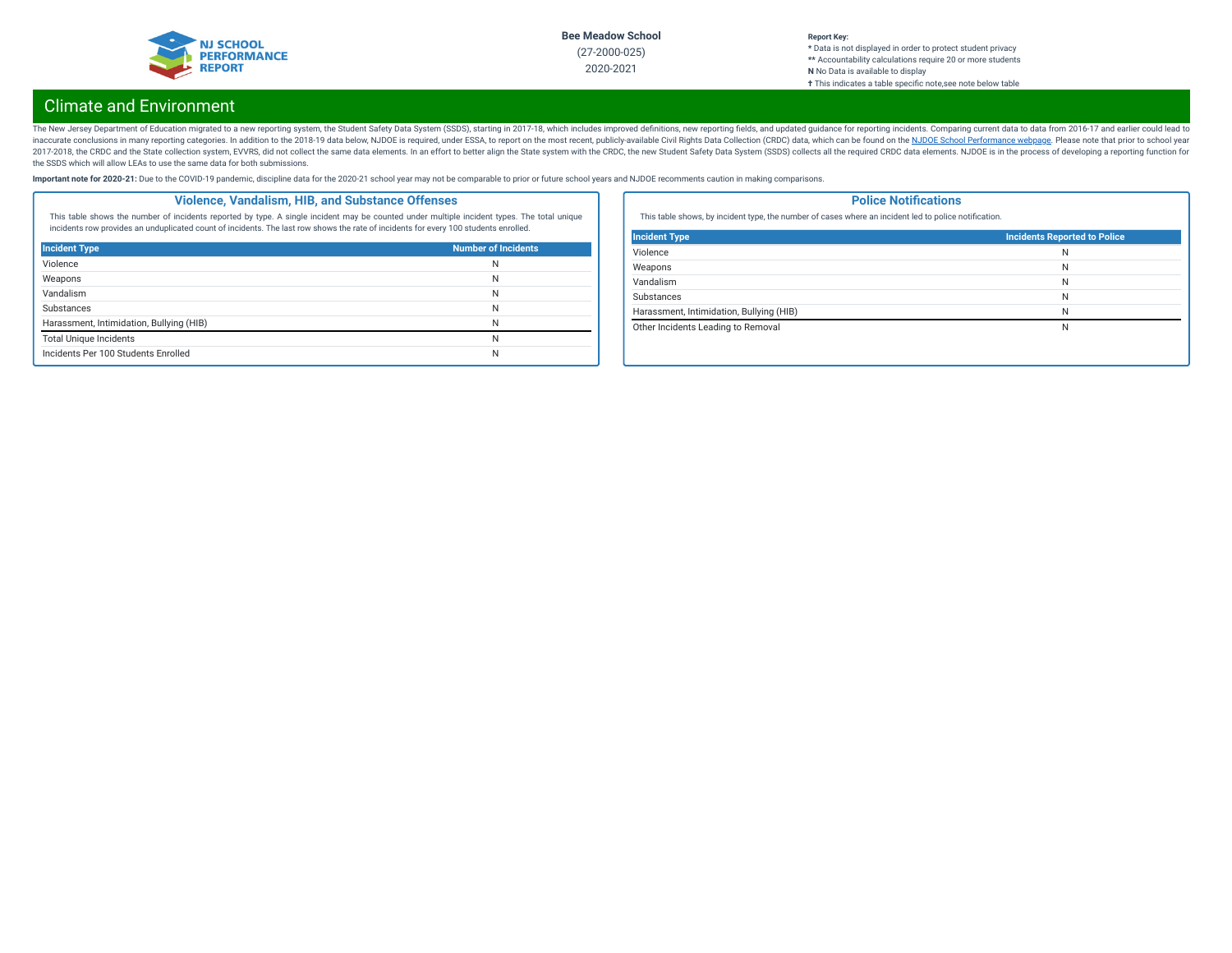

#### **Report Key: \*** Data is not displayed in order to protect student privacy **\*\*** Accountability calculations require 20 or more students **N** No Data is available to display **†** This indicates a table specic note,see note below table

# Climate and Environment

The New Jersey Department of Education migrated to a new reporting system, the Student Safety Data System (SSDS), starting in 2017-18, which includes improved definitions, new reporting fields, and updated guidance for rep inaccurate conclusions in many reporting categories. In addition to the 2018-19 data below, NJDOE is required, under ESSA, to report on the most recent, publicly-available Civil Rights Data Collection (CRDC) data, which ca 2017-2018, the CRDC and the State collection system, EVVRS, did not collect the same data elements. In an effort to better align the State system with the CRDC, the new Student Safety Data System (SSDS) collects all the re the SSDS which will allow LEAs to use the same data for both submissions.

Important note for 2020-21: Due to the COVID-19 pandemic, discipline data for the 2020-21 school year may not be comparable to prior or future school years and NJDOE recomments caution in making comparisons.

### **Violence, Vandalism, HIB, and Substance Offenses**

This table shows the number of incidents reported by type. A single incident may be counted under multiple incident types. The total unique incidents row provides an unduplicated count of incidents. The last row shows the rate of incidents for every 100 students enrolled.

| <b>Incident Type</b>                     | <b>Number of Incidents</b> |
|------------------------------------------|----------------------------|
| Violence                                 | N                          |
| Weapons                                  | N                          |
| Vandalism                                | N                          |
| <b>Substances</b>                        | N                          |
| Harassment, Intimidation, Bullying (HIB) | N                          |
| <b>Total Unique Incidents</b>            | N                          |
| Incidents Per 100 Students Enrolled      | N                          |

### **Police Notifications**

This table shows, by incident type, the number of cases where an incident led to police notification.

| <b>Incident Type</b>                     | <b>Incidents Reported to Police</b> |
|------------------------------------------|-------------------------------------|
| Violence                                 | N                                   |
| Weapons                                  | N                                   |
| Vandalism                                | N                                   |
| Substances                               | N                                   |
| Harassment, Intimidation, Bullying (HIB) | N                                   |
| Other Incidents Leading to Removal       | N                                   |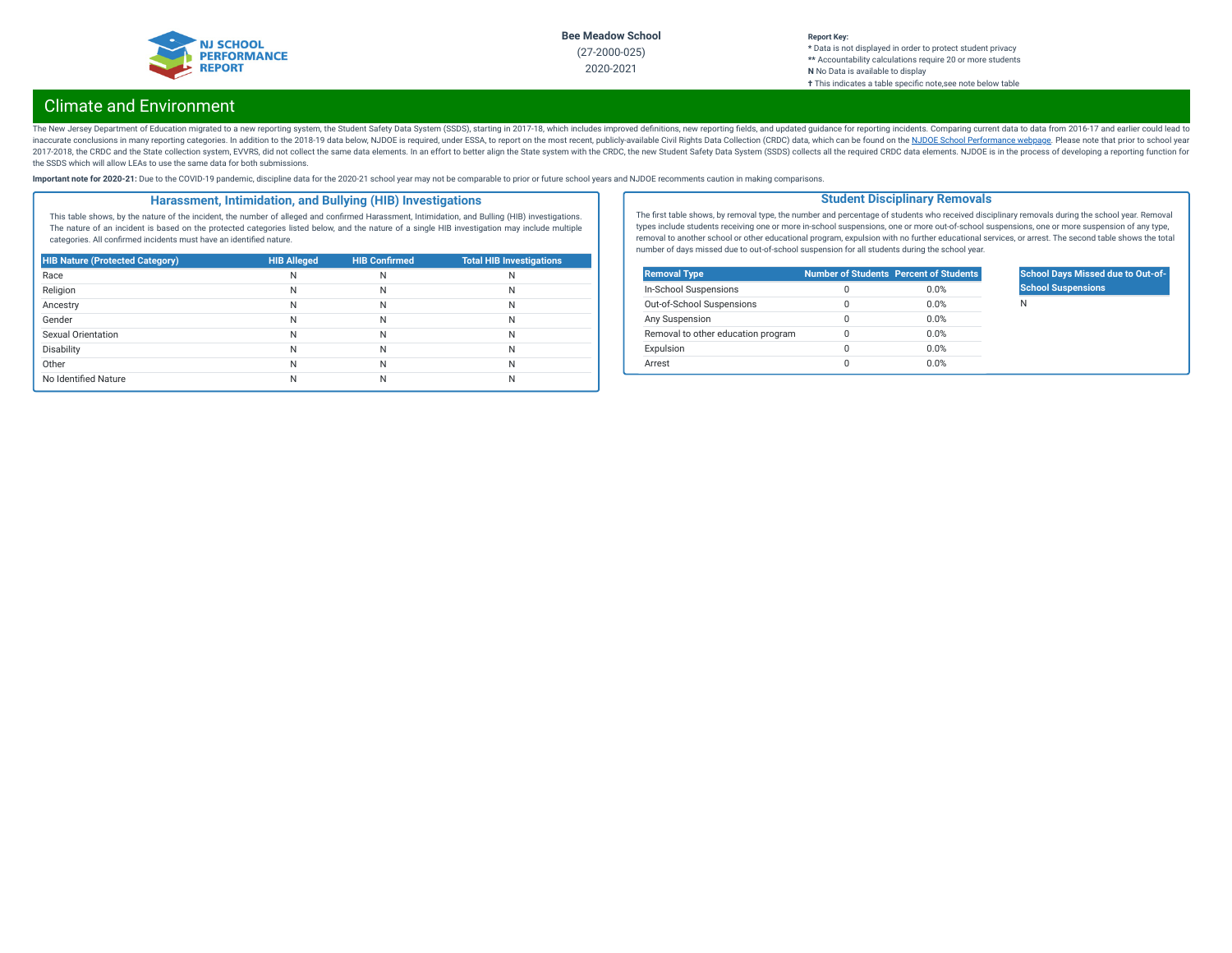

## **Report Key:**

**\*** Data is not displayed in order to protect student privacy **\*\*** Accountability calculations require 20 or more students **N** No Data is available to display **†** This indicates a table specic note,see note below table

# Climate and Environment

The New Jersey Department of Education migrated to a new reporting system, the Student Safety Data System (SSDS), starting in 2017-18, which includes improved definitions, new reporting fields, and updated guidance for rep inaccurate conclusions in many reporting categories. In addition to the 2018-19 data below, NJDOE is required, under ESSA, to report on the most recent, publicly-available Civil Rights Data Collection (CRDC) data, which ca 2017-2018, the CRDC and the State collection system, EVVRS, did not collect the same data elements. In an effort to better align the State system with the CRDC, the new Student Safety Data System (SSDS) collects all the re the SSDS which will allow LEAs to use the same data for both submissions.

Important note for 2020-21: Due to the COVID-19 pandemic, discipline data for the 2020-21 school year may not be comparable to prior or future school years and NJDOE recomments caution in making comparisons.

### **Harassment, Intimidation, and Bullying (HIB) Investigations**

This table shows, by the nature of the incident, the number of alleged and confirmed Harassment, Intimidation, and Bulling (HIB) investigations. The nature of an incident is based on the protected categories listed below, and the nature of a single HIB investigation may include multiple categories. All confirmed incidents must have an identified nature.

| <b>HIB Nature (Protected Category)</b> | <b>HIB Alleged</b> | <b>HIB Confirmed</b> | <b>Total HIB Investigations</b> |
|----------------------------------------|--------------------|----------------------|---------------------------------|
| Race                                   | Ν                  | N                    | N                               |
| Religion                               | N                  | N                    | N                               |
| Ancestry                               | N                  | N                    | N                               |
| Gender                                 | N                  | Ν                    | N                               |
| Sexual Orientation                     | N                  | Ν                    | N                               |
| Disability                             | Ν                  | Ν                    | N                               |
| Other                                  | Ν                  | Ν                    | N                               |
| No Identified Nature                   |                    | N                    | N                               |

The first table shows, by removal type, the number and percentage of students who received disciplinary removals during the school year. Removal types include students receiving one or more in-school suspensions, one or more out-of-school suspensions, one or more suspension of any type, removal to another school or other educational program, expulsion with no further educational services, or arrest. The second table shows the total number of days missed due to out-of-school suspension for all students during the school year.

**Student Disciplinary Removals**

| <b>Removal Type</b>                |   | <b>Number of Students Percent of Students</b> |
|------------------------------------|---|-----------------------------------------------|
| In-School Suspensions              | Ω | 0.0%                                          |
| Out-of-School Suspensions          | 0 | 0.0%                                          |
| Any Suspension                     | 0 | 0.0%                                          |
| Removal to other education program | Ω | 0.0%                                          |
| Expulsion                          | 0 | 0.0%                                          |
| Arrest                             | Ω | 0.0%                                          |

## **School Days Missed due to Out-of-School Suspensions**

N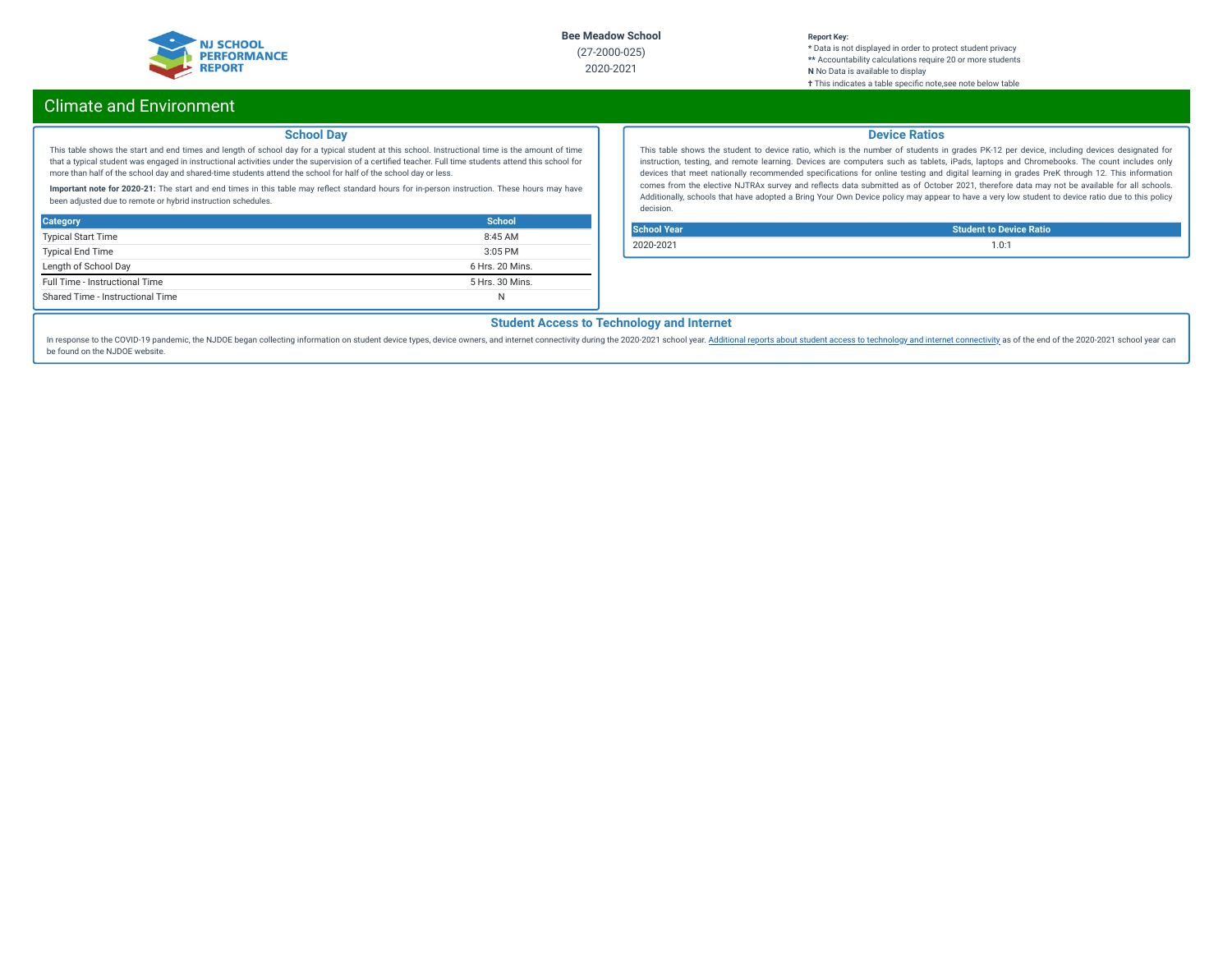

#### **Report Key:**

**\*** Data is not displayed in order to protect student privacy **\*\*** Accountability calculations require 20 or more students **N** No Data is available to display **†** This indicates a table specic note,see note below table

# Climate and Environment

### **School Day**

This table shows the start and end times and length of school day for a typical student at this school. Instructional time is the amount of time that a typical student was engaged in instructional activities under the supervision of a certified teacher. Full time students attend this school for more than half of the school day and shared-time students attend the school for half of the school day or less.

Important note for 2020-21: The start and end times in this table may reflect standard hours for in-person instruction. These hours may have been adjusted due to remote or hybrid instruction schedules.

| <b>Category</b>                  | School          |
|----------------------------------|-----------------|
| <b>Typical Start Time</b>        | 8:45AM          |
| <b>Typical End Time</b>          | $3:05$ PM       |
| Length of School Day             | 6 Hrs. 20 Mins. |
| Full Time - Instructional Time   | 5 Hrs. 30 Mins. |
| Shared Time - Instructional Time | N               |

### **Device Ratios**

This table shows the student to device ratio, which is the number of students in grades PK-12 per device, including devices designated for instruction, testing, and remote learning. Devices are computers such as tablets, iPads, laptops and Chromebooks. The count includes only devices that meet nationally recommended specifications for online testing and digital learning in grades PreK through 12. This information comes from the elective NJTRAx survey and reflects data submitted as of October 2021, therefore data may not be available for all schools. Additionally, schools that have adopted a Bring Your Own Device policy may appear to have a very low student to device ratio due to this policy decision.

**School Year Student to Device Ratio** 2020-2021 1.0:1

## **Student Access to Technology and Internet**

In response to the COVID-19 pandemic, the NJDOE began collecting information on student device types, device owners, and internet [connectivity](https://www.nj.gov/education/schoolperformance/climate/docs/2020-2021%20Opportunity%20to%20Learn%20Data.xlsx) during the 2020-2021 school year. Additional reports about student access to te be found on the NJDOE website.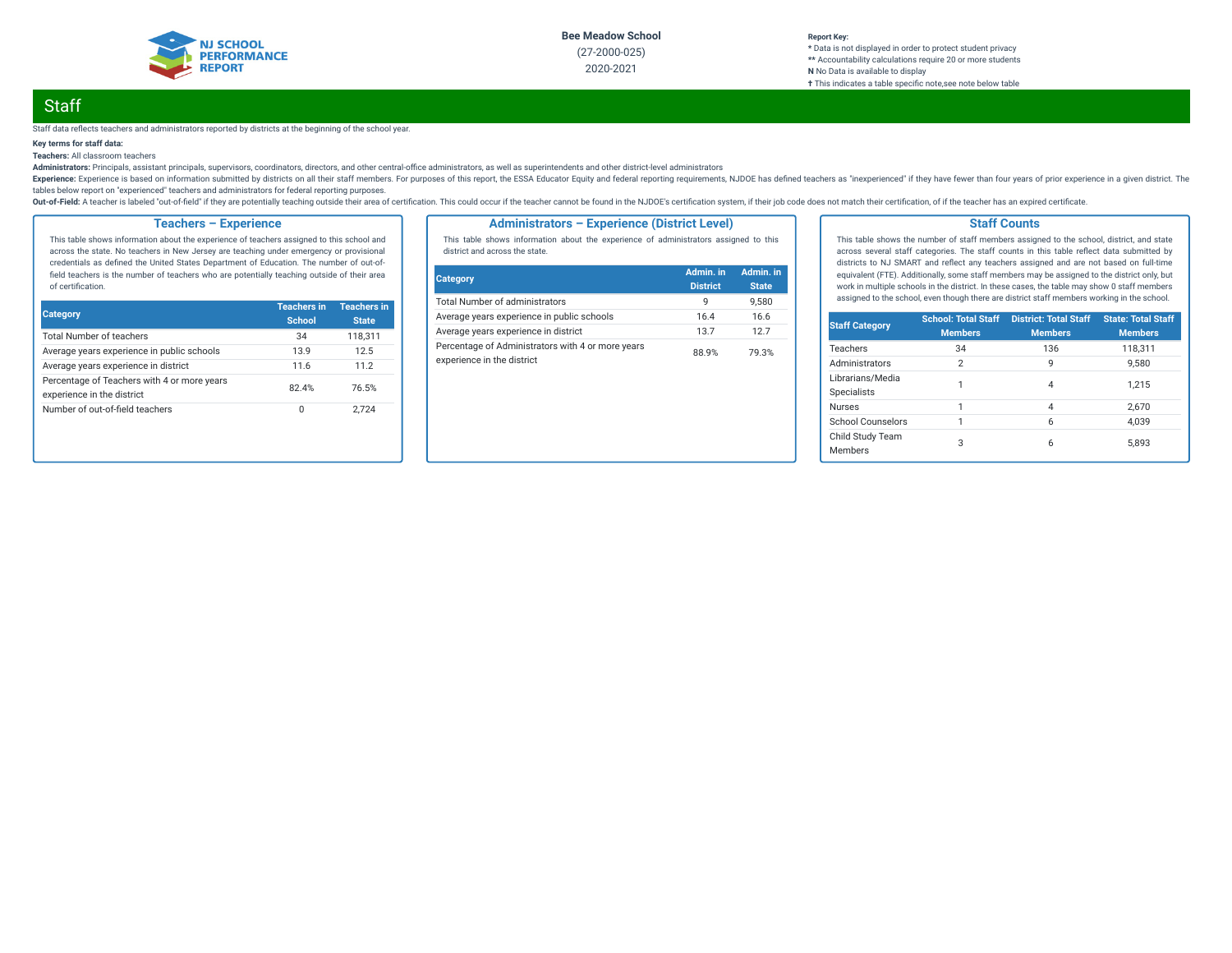

#### **Report Key: \*** Data is not displayed in order to protect student privacy **\*\*** Accountability calculations require 20 or more students **N** No Data is available to display **†** This indicates a table specic note,see note below table

# **Staff**

#### Staff data reflects teachers and administrators reported by districts at the beginning of the school year.

### **Key terms for staff data:**

**Teachers:** All classroom teachers

Administrators: Principals, assistant principals, supervisors, coordinators, directors, and other central-office administrators, as well as superintendents and other district-level administrators

Experience: Experience is based on information submitted by districts on all their staff members. For purposes of this report, the ESSA Educator Equity and federal reporting requirements, NJDOE has defined teachers as "ine tables below report on "experienced" teachers and administrators for federal reporting purposes.

Out-of-Field: A teacher is labeled "out-of-field" if they are potentially teaching outside their area of certification. This could occur if the teacher cannot be found in the NJDOE's certification system, if their job code

## **Teachers – Experience**

This table shows information about the experience of teachers assigned to this school and across the state. No teachers in New Jersey are teaching under emergency or provisional credentials as defined the United States Department of Education. The number of out-offield teachers is the number of teachers who are potentially teaching outside of their area of certification.

| <b>Category</b>                                                           | <b>Teachers in</b><br><b>School</b> | <b>Teachers in</b><br><b>State</b> |
|---------------------------------------------------------------------------|-------------------------------------|------------------------------------|
| <b>Total Number of teachers</b>                                           | 34                                  | 118,311                            |
| Average years experience in public schools                                | 13.9                                | 12.5                               |
| Average years experience in district                                      | 11.6                                | 11.2                               |
| Percentage of Teachers with 4 or more years<br>experience in the district | 82.4%                               | 76.5%                              |
| Number of out-of-field teachers                                           | 0                                   | 2.724                              |

### **Administrators – Experience (District Level)**

This table shows information about the experience of administrators assigned to this district and across the state.

| Category                                                                        | Admin. in<br><b>District</b> | Admin. in<br><b>State</b> |
|---------------------------------------------------------------------------------|------------------------------|---------------------------|
| <b>Total Number of administrators</b>                                           | q                            | 9.580                     |
| Average years experience in public schools                                      | 16.4                         | 16.6                      |
| Average years experience in district                                            | 13.7                         | 127                       |
| Percentage of Administrators with 4 or more years<br>experience in the district | 88.9%                        | 79.3%                     |

### **Staff Counts**

This table shows the number of staff members assigned to the school, district, and state across several staff categories. The staff counts in this table reflect data submitted by districts to NJ SMART and reflect any teachers assigned and are not based on full-time equivalent (FTE). Additionally, some staff members may be assigned to the district only, but work in multiple schools in the district. In these cases, the table may show 0 staff members assigned to the school, even though there are district staff members working in the school.

| <b>Staff Category</b>                  | <b>School: Total Staff</b><br><b>Members</b> | <b>District: Total Staff</b><br><b>Members</b> | <b>State: Total Staff</b><br><b>Members</b> |
|----------------------------------------|----------------------------------------------|------------------------------------------------|---------------------------------------------|
| Teachers                               | 34                                           | 136                                            | 118,311                                     |
| Administrators                         | $\overline{2}$                               | 9                                              | 9.580                                       |
| Librarians/Media<br><b>Specialists</b> |                                              | 4                                              | 1.215                                       |
| <b>Nurses</b>                          | 1                                            | $\overline{4}$                                 | 2.670                                       |
| School Counselors                      | 1                                            | 6                                              | 4.039                                       |
| Child Study Team<br><b>Members</b>     | 3                                            | 6                                              | 5.893                                       |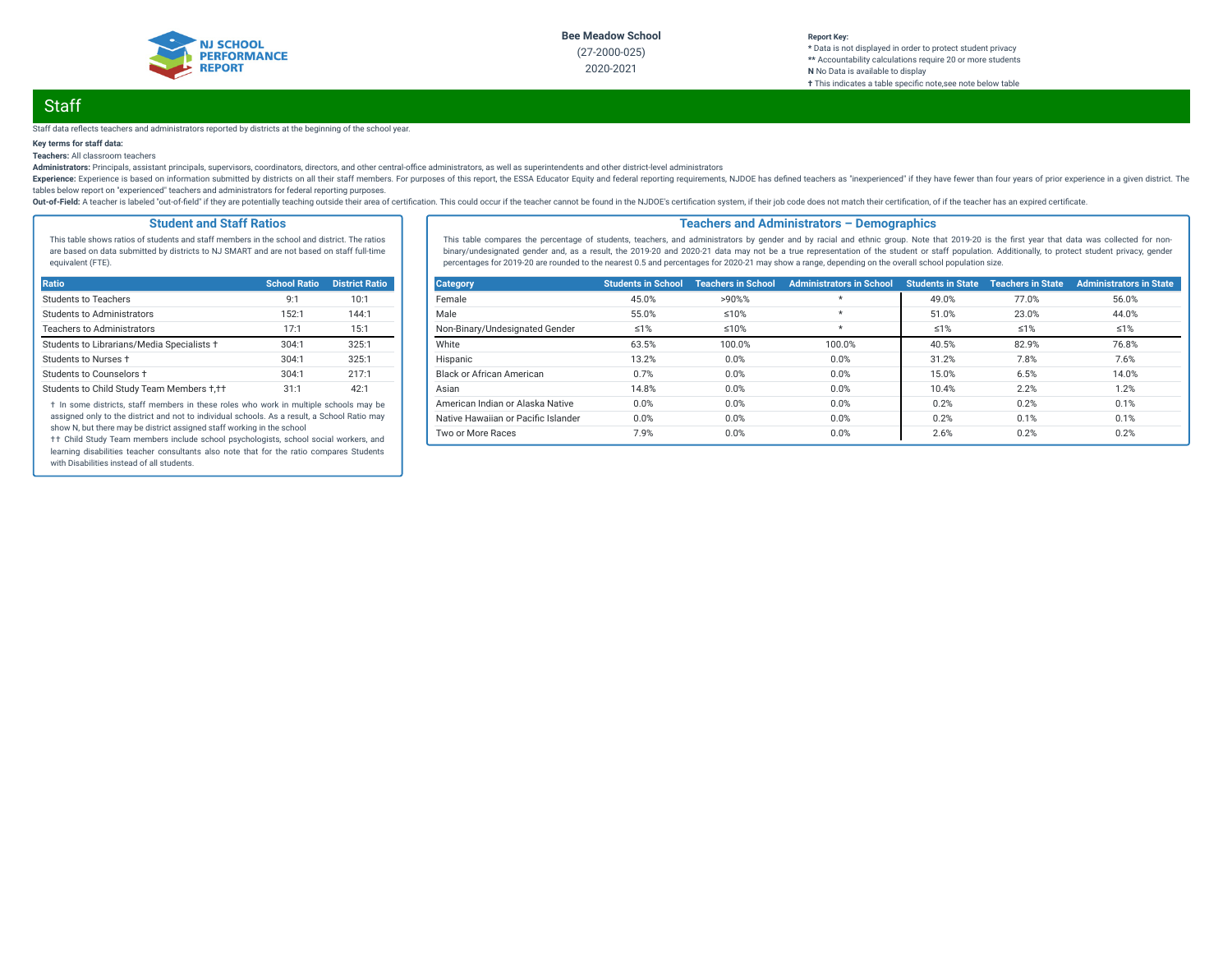

#### **Report Key: \*** Data is not displayed in order to protect student privacy **\*\*** Accountability calculations require 20 or more students **N** No Data is available to display **†** This indicates a table specic note,see note below table

# **Staff**

#### Staff data reflects teachers and administrators reported by districts at the beginning of the school year.

### **Key terms for staff data:**

**Teachers:** All classroom teachers

Administrators: Principals, assistant principals, supervisors, coordinators, directors, and other central-office administrators, as well as superintendents and other district-level administrators

Experience: Experience is based on information submitted by districts on all their staff members. For purposes of this report, the ESSA Educator Equity and federal reporting requirements, NJDOE has defined teachers as "ine tables below report on "experienced" teachers and administrators for federal reporting purposes.

Out-of-Field: A teacher is labeled "out-of-field" if they are potentially teaching outside their area of certification. This could occur if the teacher cannot be found in the NJDOE's certification system, if their job code

### **Student and Staff Ratios**

This table shows ratios of students and staff members in the school and district. The ratios are based on data submitted by districts to NJ SMART and are not based on staff full-time equivalent (FTE).

| Ratio                                      | <b>School Ratio</b> | <b>District Ratio</b> |
|--------------------------------------------|---------------------|-----------------------|
| Students to Teachers                       | 9:1                 | 10:1                  |
| <b>Students to Administrators</b>          | 152:1               | 144:1                 |
| <b>Teachers to Administrators</b>          | 17:1                | 15:1                  |
| Students to Librarians/Media Specialists + | 304:1               | 325:1                 |
| Students to Nurses +                       | 304:1               | 325:1                 |
| Students to Counselors +                   | 304:1               | 217:1                 |
| Students to Child Study Team Members +,++  | 31:1                | 42:1                  |

† In some districts, staff members in these roles who work in multiple schools may be assigned only to the district and not to individual schools. As a result, a School Ratio may show N, but there may be district assigned staff working in the school

†† Child Study Team members include school psychologists, school social workers, and learning disabilities teacher consultants also note that for the ratio compares Students with Disabilities instead of all students.

### **Teachers and Administrators – Demographics**

This table compares the percentage of students, teachers, and administrators by gender and by racial and ethnic group. Note that 2019-20 is the first year that data was collected for nonbinary/undesignated gender and, as a result, the 2019-20 and 2020-21 data may not be a true representation of the student or staff population. Additionally, to protect student privacy, gender percentages for 2019-20 are rounded to the nearest 0.5 and percentages for 2020-21 may show a range, depending on the overall school population size.

| <b>Category</b>                     | <b>Students in School</b> | <b>Teachers in School</b> | <b>Administrators in School</b> | <b>Students in State</b> | <b>Teachers in State</b> | <b>Administrators in State</b> |
|-------------------------------------|---------------------------|---------------------------|---------------------------------|--------------------------|--------------------------|--------------------------------|
| Female                              | 45.0%                     | >90%%                     | $\star$                         | 49.0%                    | 77.0%                    | 56.0%                          |
| Male                                | 55.0%                     | $≤10%$                    | $\star$                         | 51.0%                    | 23.0%                    | 44.0%                          |
| Non-Binary/Undesignated Gender      | $\leq 1\%$                | $≤10%$                    | $^\star$                        | $\leq 1\%$               | $\leq 1\%$               | ≤1%                            |
| White                               | 63.5%                     | 100.0%                    | 100.0%                          | 40.5%                    | 82.9%                    | 76.8%                          |
| Hispanic                            | 13.2%                     | 0.0%                      | 0.0%                            | 31.2%                    | 7.8%                     | 7.6%                           |
| Black or African American           | 0.7%                      | 0.0%                      | 0.0%                            | 15.0%                    | 6.5%                     | 14.0%                          |
| Asian                               | 14.8%                     | 0.0%                      | 0.0%                            | 10.4%                    | 2.2%                     | 1.2%                           |
| American Indian or Alaska Native    | 0.0%                      | 0.0%                      | 0.0%                            | 0.2%                     | 0.2%                     | 0.1%                           |
| Native Hawaiian or Pacific Islander | 0.0%                      | 0.0%                      | 0.0%                            | 0.2%                     | 0.1%                     | 0.1%                           |
| Two or More Races                   | 7.9%                      | 0.0%                      | 0.0%                            | 2.6%                     | 0.2%                     | 0.2%                           |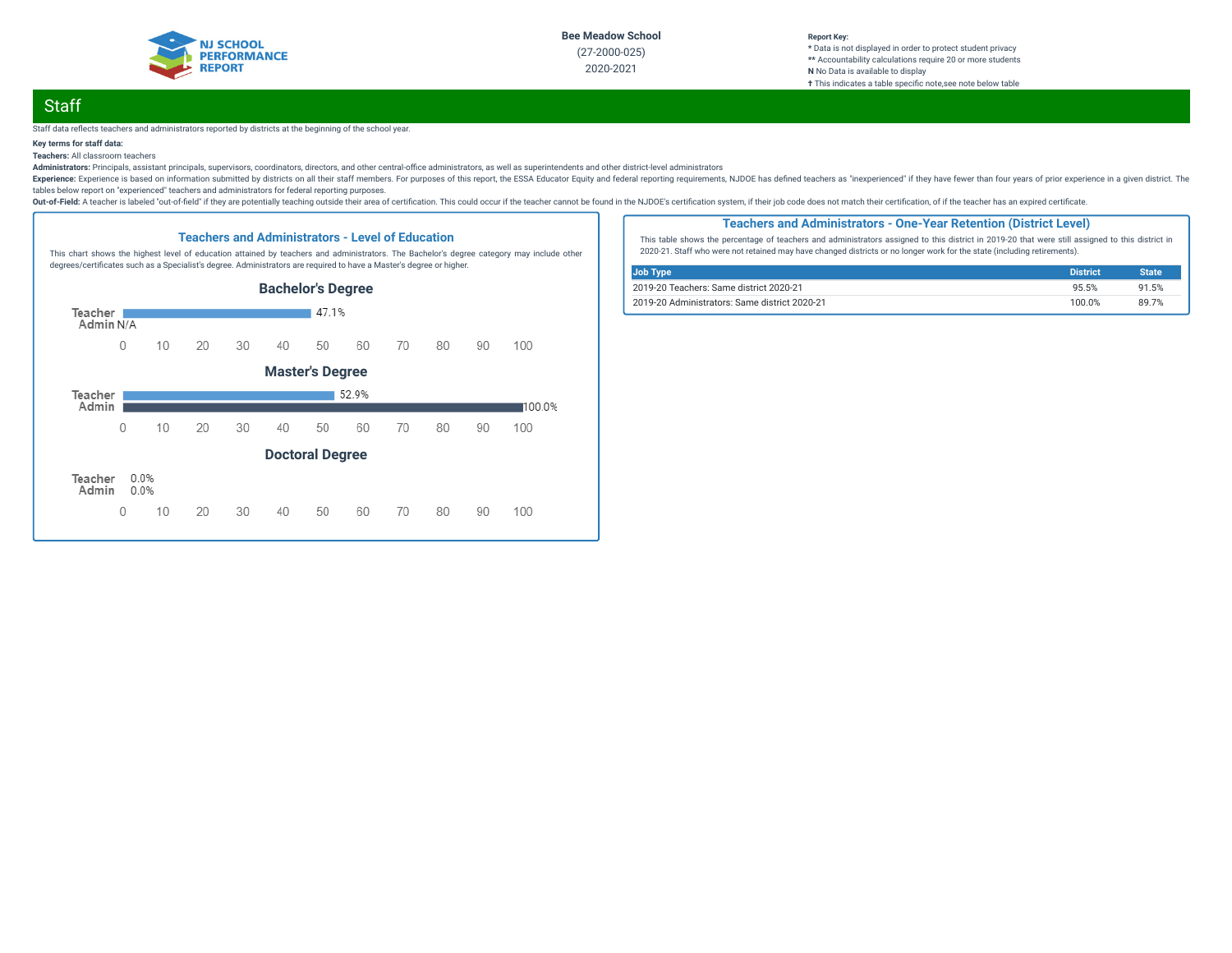

#### **Report Key: \*** Data is not displayed in order to protect student privacy **\*\*** Accountability calculations require 20 or more students **N** No Data is available to display **†** This indicates a table specic note,see note below table

# **Staff**

#### Staff data reflects teachers and administrators reported by districts at the beginning of the school year.

## **Key terms for staff data:**

### **Teachers:** All classroom teachers

Administrators: Principals, assistant principals, supervisors, coordinators, directors, and other central-office administrators, as well as superintendents and other district-level administrators

Experience: Experience is based on information submitted by districts on all their staff members. For purposes of this report, the ESSA Educator Equity and federal reporting requirements, NJDOE has defined teachers as "ine tables below report on "experienced" teachers and administrators for federal reporting purposes.

Out-of-Field: A teacher is labeled "out-of-field" if they are potentially teaching outside their area of certification. This could occur if the teacher cannot be found in the NJDOE's certification system, if their job code



### **Teachers and Administrators - One-Year Retention (District Level)**

This table shows the percentage of teachers and administrators assigned to this district in 2019-20 that were still assigned to this district in 2020-21. Staff who were not retained may have changed districts or no longer work for the state (including retirements).

| Job Type                                      | <b>District</b> | <b>State</b> |
|-----------------------------------------------|-----------------|--------------|
| 2019-20 Teachers: Same district 2020-21       | 95.5%           | 91.5%        |
| 2019-20 Administrators: Same district 2020-21 | 100.0%          | 89 7%        |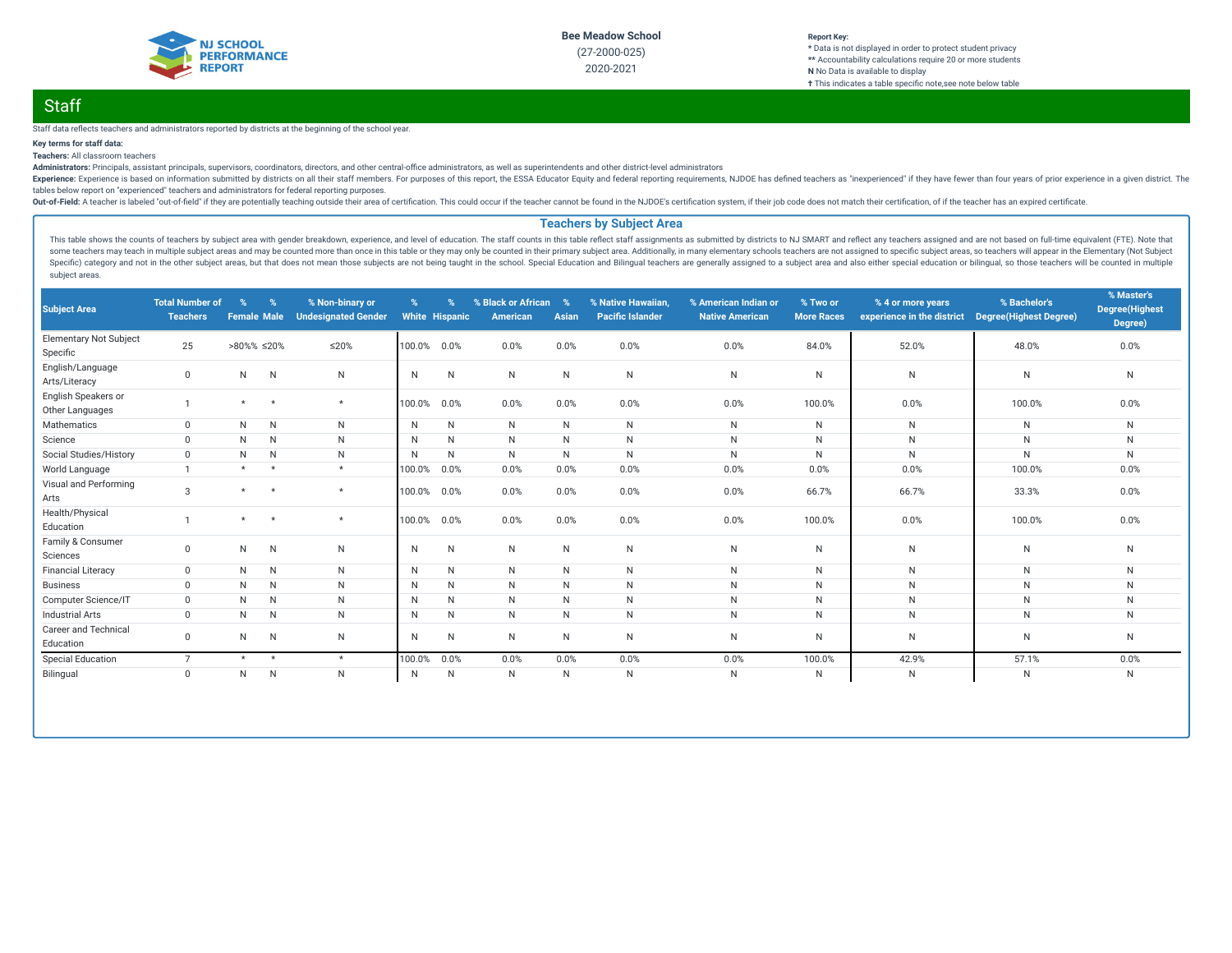

### **Report Key: \*** Data is not displayed in order to protect student privacy **\*\*** Accountability calculations require 20 or more students **N** No Data is available to display **†** This indicates a table specific note, see note below table

# **Staff**

Staff data reflects teachers and administrators reported by districts at the beginning of the school year.

## **Key terms for staff data:**

**Teachers:** All classroom teachers

Administrators: Principals, assistant principals, supervisors, coordinators, directors, and other central-office administrators, as well as superintendents and other district-level administrators

Experience: Experience is based on information submitted by districts on all their staff members. For purposes of this report, the ESSA Educator Equity and federal reporting requirements, NJDOE has defined teachers as "ine tables below report on "experienced" teachers and administrators for federal reporting purposes.

Out-of-Field: A teacher is labeled "out-of-field" if they are potentially teaching outside their area of certification. This could occur if the teacher cannot be found in the NJDOE's certification system, if their job code

### **Teachers by Subject Area**

This table shows the counts of teachers by subject area with gender breakdown, experience, and level of education. The staff counts in this table reflect staff assignments as submitted by districts to NJ SMART and reflect some teachers may teach in multiple subject areas and may be counted more than once in this table or they may only be counted in their primary subject area. Additionally, in many elementary schools teachers are not assigne Specific) category and not in the other subject areas, but that does not mean those subjects are not being taught in the school. Special Education and Bilingual teachers are generally assigned to a subject area and also ei subject areas.

| <b>Subject Area</b>                       | <b>Total Number of</b><br><b>Teachers</b> | $\%$<br><b>Female Male</b> | $\%$         | % Non-binary or<br><b>Undesignated Gender</b> | %      | %<br><b>White Hispanic</b> | % Black or African<br>American | $\%$<br>Asian | % Native Hawaiian,<br><b>Pacific Islander</b> | % American Indian or<br><b>Native American</b> | % Two or<br><b>More Races</b> | % 4 or more years<br>experience in the district | % Bachelor's<br><b>Degree(Highest Degree)</b> | % Master's<br><b>Degree</b> (Highest<br>Degree) |
|-------------------------------------------|-------------------------------------------|----------------------------|--------------|-----------------------------------------------|--------|----------------------------|--------------------------------|---------------|-----------------------------------------------|------------------------------------------------|-------------------------------|-------------------------------------------------|-----------------------------------------------|-------------------------------------------------|
| <b>Elementary Not Subject</b><br>Specific | 25                                        | $>80\%$ % $\leq 20\%$      |              | ≤20%                                          | 100.0% | 0.0%                       | 0.0%                           | 0.0%          | 0.0%                                          | 0.0%                                           | 84.0%                         | 52.0%                                           | 48.0%                                         | 0.0%                                            |
| English/Language<br>Arts/Literacy         | $\mathbf{0}$                              | N                          | $\mathsf{N}$ | N                                             | N      | N                          | N                              | $\mathsf{N}$  | ${\sf N}$                                     | ${\sf N}$                                      | $\mathsf{N}$                  | N                                               | N                                             | ${\sf N}$                                       |
| English Speakers or<br>Other Languages    |                                           | $\star$                    | $\star$      | $\star$                                       | 100.0% | 0.0%                       | 0.0%                           | 0.0%          | 0.0%                                          | 0.0%                                           | 100.0%                        | 0.0%                                            | 100.0%                                        | 0.0%                                            |
| Mathematics                               | $\mathbf{0}$                              | N                          | N            | N                                             | N      | N                          | N.                             | N             | ${\sf N}$                                     | N                                              | N                             | N                                               | N                                             | N                                               |
| Science                                   | $\Omega$                                  | N                          | N            | N                                             | N      | N                          | N                              | $\mathsf{N}$  | ${\sf N}$                                     | ${\sf N}$                                      | N                             | N                                               | ${\sf N}$                                     | N                                               |
| Social Studies/History                    | $\Omega$                                  | N                          | N            | N                                             | N      | N                          | N                              | N             | $\mathsf{N}$                                  | $\mathsf{N}$                                   | $\mathsf{N}$                  | N                                               | $\mathsf{N}$                                  | $\mathsf{N}$                                    |
| World Language                            |                                           | $\star$                    | $\star$      | $\star$                                       | 100.0% | 0.0%                       | 0.0%                           | 0.0%          | 0.0%                                          | 0.0%                                           | 0.0%                          | 0.0%                                            | 100.0%                                        | 0.0%                                            |
| Visual and Performing<br>Arts             | $\mathcal{S}$                             | $\star$                    | $\star$      | $\star$                                       | 100.0% | 0.0%                       | 0.0%                           | 0.0%          | 0.0%                                          | 0.0%                                           | 66.7%                         | 66.7%                                           | 33.3%                                         | 0.0%                                            |
| Health/Physical<br>Education              |                                           | $\star$                    | $\star$      | $\star$                                       | 100.0% | 0.0%                       | 0.0%                           | 0.0%          | 0.0%                                          | 0.0%                                           | 100.0%                        | 0.0%                                            | 100.0%                                        | 0.0%                                            |
| Family & Consumer<br>Sciences             | $\mathbf{0}$                              | N                          | $\mathsf{N}$ | N                                             | N      | N                          | N.                             | $\mathsf{N}$  | $\mathsf{N}$                                  | $\mathsf{N}$                                   | N                             | N                                               | N                                             | $\mathsf{N}$                                    |
| <b>Financial Literacy</b>                 | $\mathbf{0}$                              | N                          | N            | N                                             | N      | N                          | N.                             | N             | $\mathsf{N}$                                  | $\mathsf{N}$                                   | N                             | N                                               | $\mathsf{N}$                                  | $\mathsf{N}$                                    |
| <b>Business</b>                           | $\Omega$                                  | N                          | $\mathsf{N}$ | N                                             | N      | N                          | N                              | $\mathsf{N}$  | ${\sf N}$                                     | $\mathsf N$                                    | $\mathsf{N}$                  | N                                               | N                                             | N                                               |
| Computer Science/IT                       | $\mathbf 0$                               | N                          | N            | N                                             | N      | N                          | N                              | $\mathsf{N}$  | N                                             | $\mathsf{N}$                                   | N                             | N                                               | N                                             | N                                               |
| <b>Industrial Arts</b>                    | $\Omega$                                  | N                          | N            | N                                             | N      | N                          | N                              | N             | $\mathsf{N}$                                  | $\mathsf{N}$                                   | $\mathsf{N}$                  | N                                               | $\mathsf{N}$                                  | $\mathsf{N}$                                    |
| <b>Career and Technical</b><br>Education  | 0                                         | N                          | N            | N                                             | N      | N                          | N                              | N             | N                                             | N                                              | N                             | N                                               | N                                             | N                                               |
| <b>Special Education</b>                  | $\overline{7}$                            | $\star$                    | $\star$      | $\star$                                       | 100.0% | 0.0%                       | 0.0%                           | 0.0%          | 0.0%                                          | 0.0%                                           | 100.0%                        | 42.9%                                           | 57.1%                                         | 0.0%                                            |
| Bilingual                                 | $\mathbf 0$                               | N                          | ${\sf N}$    | $\mathsf{N}$                                  | N      | N                          | N                              | $\mathsf{N}$  | ${\sf N}$                                     | $\mathsf N$                                    | N                             | N                                               | $\mathsf{N}$                                  | N                                               |
|                                           |                                           |                            |              |                                               |        |                            |                                |               |                                               |                                                |                               |                                                 |                                               |                                                 |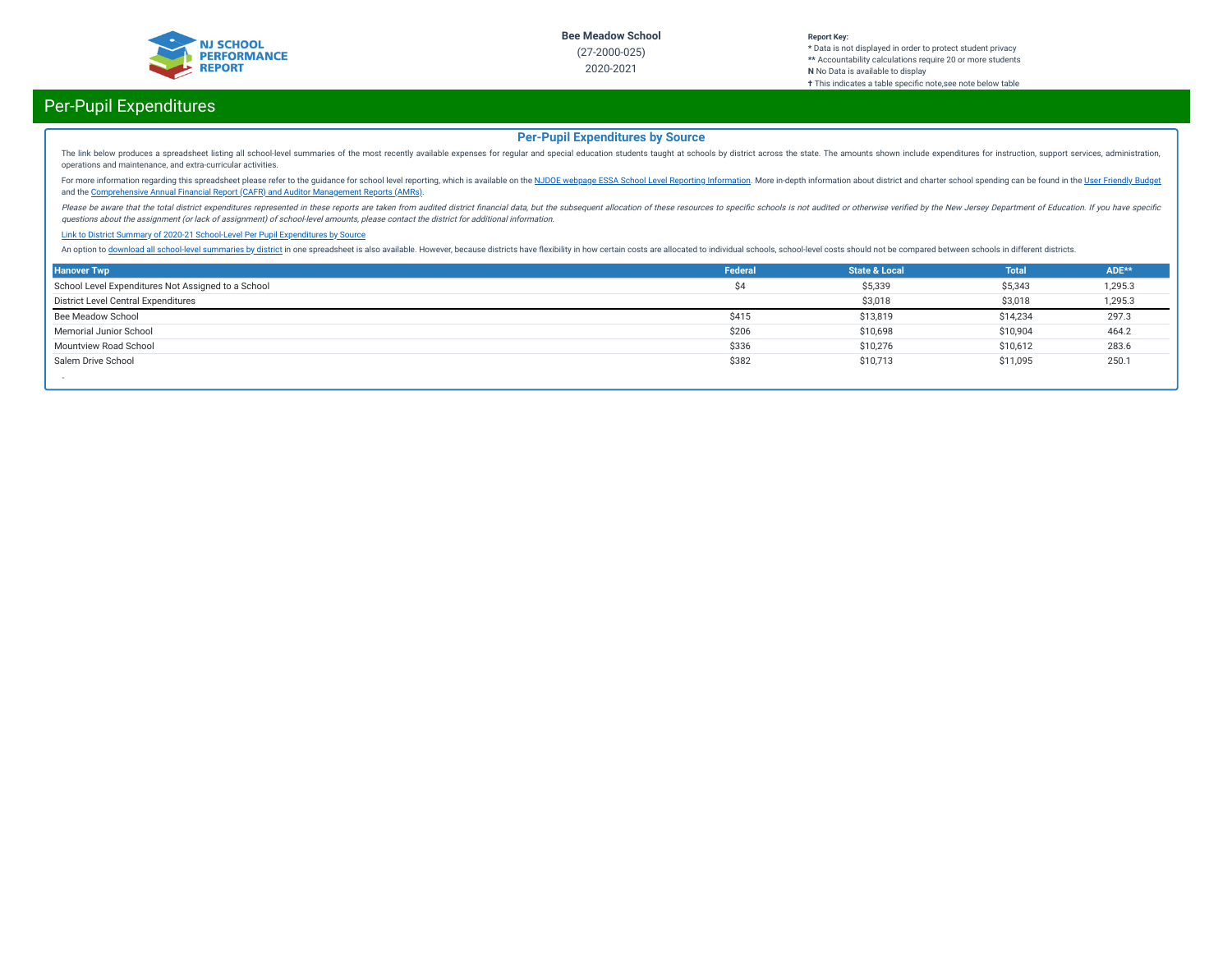

#### **Report Key: \*** Data is not displayed in order to protect student privacy **\*\*** Accountability calculations require 20 or more students **N** No Data is available to display **†** This indicates a table specific note, see note below table

# Per-Pupil Expenditures

## **Per-Pupil Expenditures by Source**

The link below produces a spreadsheet listing all school-level summaries of the most recently available expenses for regular and special education students taught at schools by district across the state. The amounts shown operations and maintenance, and extra-curricular activities.

For more information regarding this spreadsheet please refer to the guidance for school level reporting, which is available on the NJDOE webpage ESSA School Level Reporting [Information](https://www.nj.gov/education/finance/fp/af/essa.shtml). More in-depth information about dist and the [Comprehensive](https://www.nj.gov/education/finance/fp/cafr/search/) Annual Financial Report (CAFR) and Auditor Management Reports (AMRs).

Please be aware that the total district expenditures represented in these reports are taken from audited district financial data, but the subsequent allocation of these resources to specific schools is not audited or other questions about the assignment (or lack of assignment) of school-level amounts, please contact the district for additional information.

#### Link to District Summary of [2020-21 School-Level](https://homeroom4.doe.state.nj.us/audsum/PpeReport?&did=2000&fileformat=html&reportname=PERFORMREPORT&fy=21) Per Pupil Expenditures by Source

An option to download all [school-level](https://homeroom4.doe.state.nj.us/audsum/PpeReport?&did=9999&fileformat=html&reportname=PERFORMREPORT&fy=21) summaries by district in one spreadsheet is also available. However, because districts have flexibility in how certain costs are allocated to individual schools, school-level costs sh

| <b>Hanover Twp</b>                                 | Federal | <b>State &amp; Local</b> | <b>Total</b> | ADE**   |
|----------------------------------------------------|---------|--------------------------|--------------|---------|
| School Level Expenditures Not Assigned to a School | Ś4      | \$5,339                  | \$5,343      | 1,295.3 |
| District Level Central Expenditures                |         | \$3,018                  | \$3,018      | 1,295.3 |
| Bee Meadow School                                  | \$415   | \$13,819                 | \$14,234     | 297.3   |
| Memorial Junior School                             | \$206   | \$10,698                 | \$10,904     | 464.2   |
| Mountview Road School                              | \$336   | \$10,276                 | \$10,612     | 283.6   |
| Salem Drive School                                 | \$382   | \$10,713                 | \$11,095     | 250.1   |
|                                                    |         |                          |              |         |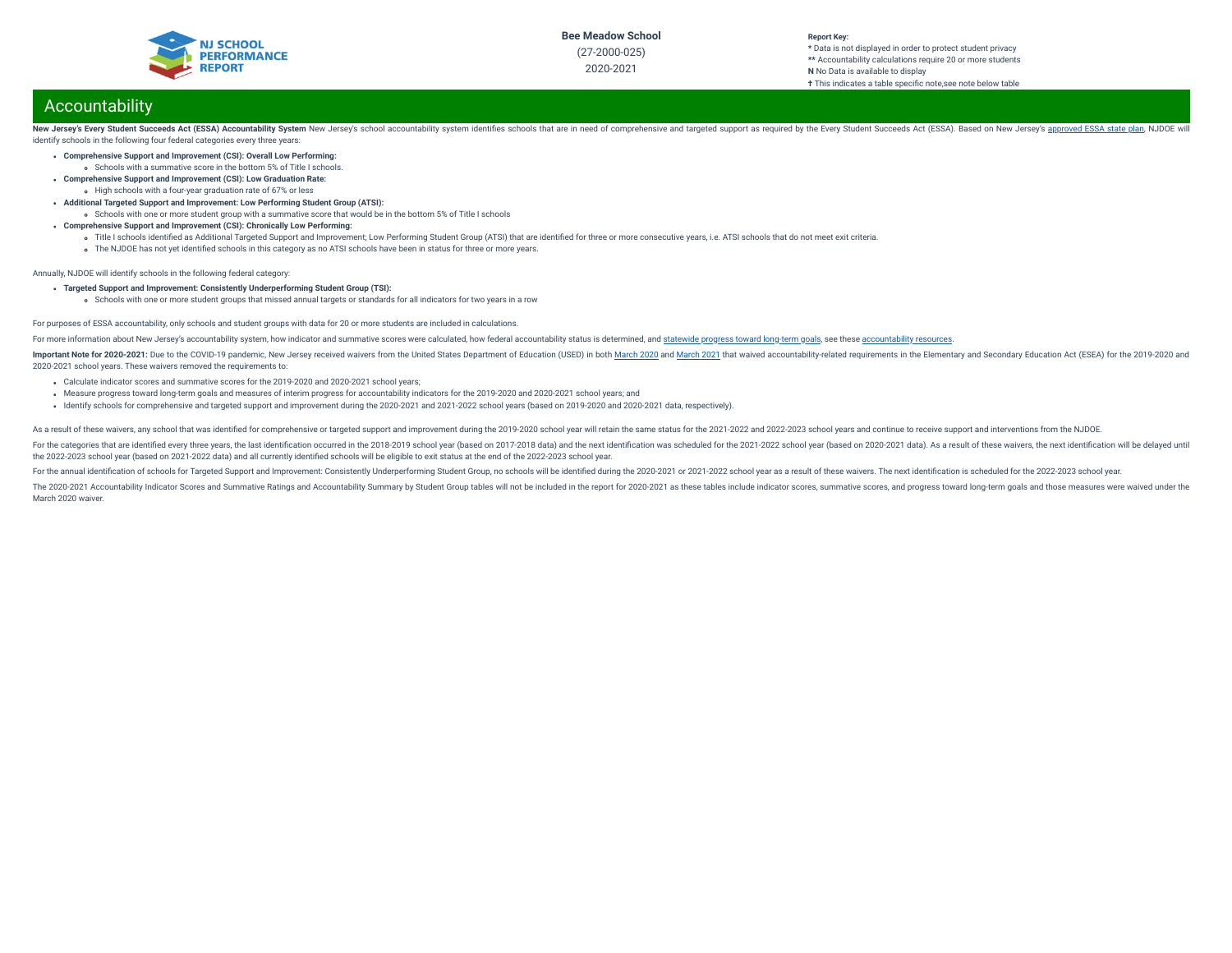

# 2020-2021

#### **Report Key: \*** Data is not displayed in order to protect student privacy **\*\*** Accountability calculations require 20 or more students **N** No Data is available to display **†** This indicates a table specific note, see note below table

# Accountability

New Jersey's Every Student Succeeds Act (ESSA) Accountability System New Jersey's school accountability system identifies schools that are in need of comprehensive and targeted support as required by the Every Student Succ identify schools in the following four federal categories every three years:

- **Comprehensive Support and Improvement (CSI): Overall Low Performing:**
	- Schools with a summative score in the bottom 5% of Title I schools.
- **Comprehensive Support and Improvement (CSI): Low Graduation Rate:** High schools with a four-year graduation rate of 67% or less
- **Additional Targeted Support and Improvement: Low Performing Student Group (ATSI):**
- Schools with one or more student group with a summative score that would be in the bottom 5% of Title I schools
- **Comprehensive Support and Improvement (CSI): Chronically Low Performing:**
	- o Title I schools identified as Additional Targeted Support and Improvement; Low Performing Student Group (ATSI) that are identified for three or more consecutive years, i.e. ATSI schools that do not meet exit criteria.
	- The NJDOE has not yet identified schools in this category as no ATSI schools have been in status for three or more years.

Annually, NJDOE will identify schools in the following federal category:

- **Targeted Support and Improvement: Consistently Underperforming Student Group (TSI):**
	- schools with one or more student groups that missed annual targets or standards for all indicators for two years in a row

#### For purposes of ESSA accountability, only schools and student groups with data for 20 or more students are included in calculations.

For more information about New Jersey's accountability system, how indicator and summative scores were calculated, how federal accountability status is determined, and [statewide](https://www.state.nj.us/education/title1/accountability/progress/19/2018-19%20Statewide%20Progress%20toward%20Long-Term%20Goals.pdf) progress toward long-term goals, see these a

Important Note for 2020-2021: Due to the COVID-19 pandemic, New Jersey received waivers from the United States Department of Education (USED) in both [March](https://oese.ed.gov/files/2021/03/nj-acct-waiver-response-1.pdf) 2020 and March 2021 that waived accountability-related requirement 2020-2021 school years. These waivers removed the requirements to:

- Calculate indicator scores and summative scores for the 2019-2020 and 2020-2021 school years;
- Measure progress toward long-term goals and measures of interim progress for accountability indicators for the 2019-2020 and 2020-2021 school years; and
- Identify schools for comprehensive and targeted support and improvement during the 2020-2021 and 2021-2022 school years (based on 2019-2020 and 2020-2021 data, respectively).

As a result of these waivers, any school that was identified for comprehensive or targeted support and improvement during the 2019-2020 school year will retain the same status for the 2021-2022 and 2022-2023 school years a

For the categories that are identified every three vears, the last identification occurred in the 2018-2019 school year (based on 2017-2018 data) and the next identification was scheduled for the 2021-2022 school year (bas the 2022-2023 school year (based on 2021-2022 data) and all currently identied schools will be eligible to exit status at the end of the 2022-2023 school year.

For the annual identification of schools for Targeted Support and Improvement: Consistently Underperforming Student Group, no schools will be identified during the 2020-2021 or 2021-2022 school year as a result of these wa

The 2020-2021 Accountability Indicator Scores and Summative Ratings and Accountability Summary by Student Group tables will not be included in the report for 2020-2021 as these tables include indicator scores, summative sc March 2020 waiver.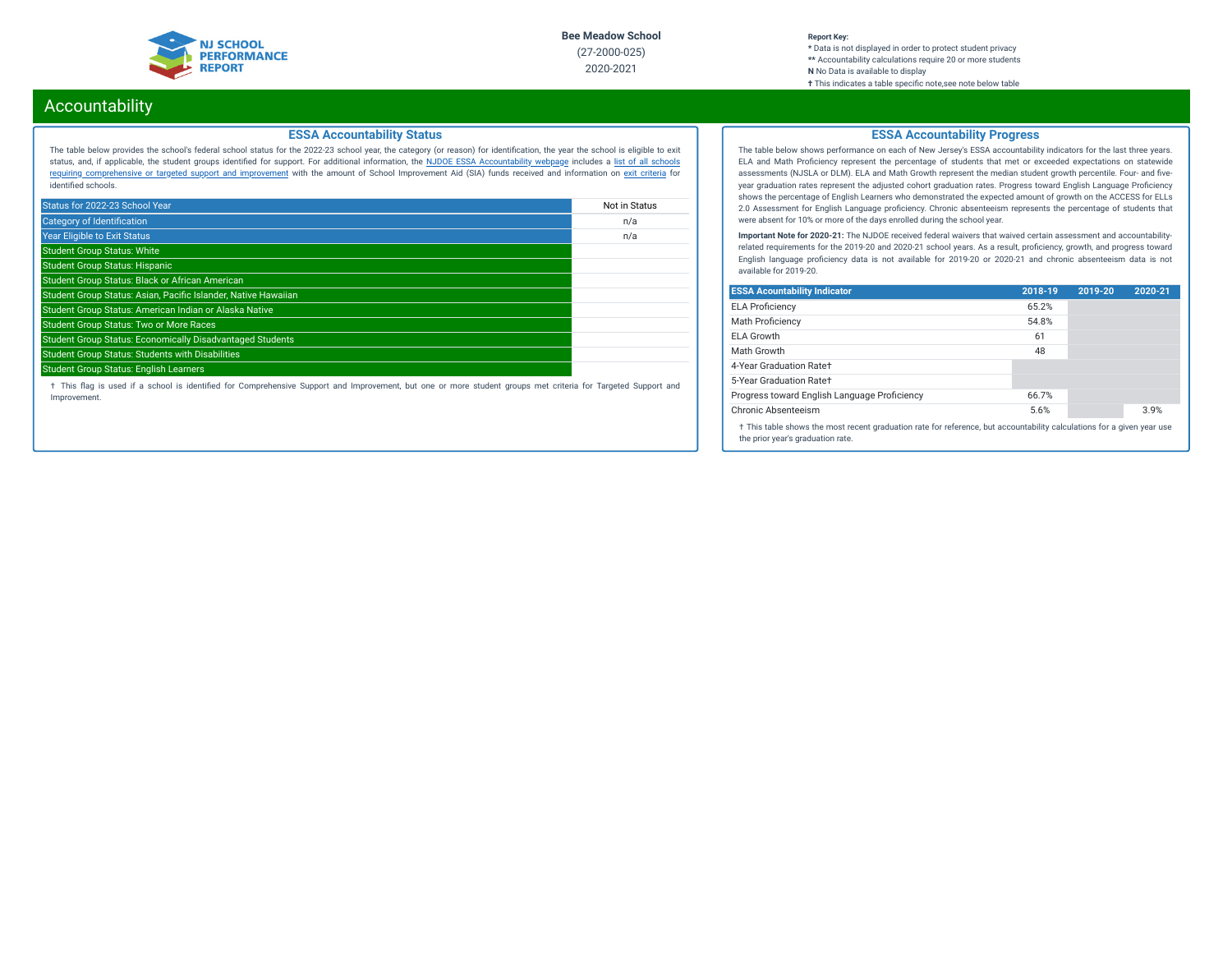

#### **Report Key: \*** Data is not displayed in order to protect student privacy **\*\*** Accountability calculations require 20 or more students **N** No Data is available to display **†** This indicates a table specic note,see note below table

# Accountability

## **ESSA Accountability Status**

The table below provides the school's federal school status for the 2022-23 school year, the category (or reason) for identication, the year the school is eligible to exit status, and, if applicable, the student groups identied for support. For additional information, the NJDOE ESSA [Accountability](https://www.state.nj.us/education/title1/accountability/progress/20/) webpage includes a list of all schools requiring [comprehensive](https://www.state.nj.us/education/title1/accountability/progress/19/CAP%20Comprehensive_Targeted_Schools.xlsx) or targeted support and improvement with the amount of School Improvement Aid (SIA) funds received and information on exit [criteria](https://www.state.nj.us/education/title1/accountability/progress/20/ESSAExitCriteriaDocument.pdf) for identified schools.

| Status for 2022-23 School Year                                   | Not in Status |
|------------------------------------------------------------------|---------------|
| <b>Category of Identification</b>                                | n/a           |
| <b>Year Eligible to Exit Status</b>                              | n/a           |
| <b>Student Group Status: White</b>                               |               |
| <b>Student Group Status: Hispanic</b>                            |               |
| Student Group Status: Black or African American                  |               |
| Student Group Status: Asian, Pacific Islander, Native Hawaiian   |               |
| Student Group Status: American Indian or Alaska Native           |               |
| <b>Student Group Status: Two or More Races</b>                   |               |
| <b>Student Group Status: Economically Disadvantaged Students</b> |               |
| <b>Student Group Status: Students with Disabilities</b>          |               |
| <b>Student Group Status: English Learners</b>                    |               |

† This ag is used if a school is identied for Comprehensive Support and Improvement, but one or more student groups met criteria for Targeted Support and Improvement.

## **ESSA Accountability Progress**

The table below shows performance on each of New Jersey's ESSA accountability indicators for the last three years. ELA and Math Proficiency represent the percentage of students that met or exceeded expectations on statewide assessments (NJSLA or DLM). ELA and Math Growth represent the median student growth percentile. Four- and fiveyear graduation rates represent the adjusted cohort graduation rates. Progress toward English Language Proficiency shows the percentage of English Learners who demonstrated the expected amount of growth on the ACCESS for ELLs 2.0 Assessment for English Language proficiency. Chronic absenteeism represents the percentage of students that were absent for 10% or more of the days enrolled during the school year.

**Important Note for 2020-21:** The NJDOE received federal waivers that waived certain assessment and accountabilityrelated requirements for the 2019-20 and 2020-21 school years. As a result, proficiency, growth, and progress toward English language proficiency data is not available for 2019-20 or 2020-21 and chronic absenteeism data is not available for 2019-20.

| <b>ESSA Acountability Indicator</b>                                                                                                                         | 2018-19 | 2019-20 | 2020-21 |
|-------------------------------------------------------------------------------------------------------------------------------------------------------------|---------|---------|---------|
| <b>ELA Proficiency</b>                                                                                                                                      | 65.2%   |         |         |
| <b>Math Proficiency</b>                                                                                                                                     | 54.8%   |         |         |
| ELA Growth                                                                                                                                                  | 61      |         |         |
| Math Growth                                                                                                                                                 | 48      |         |         |
| 4-Year Graduation Rate+                                                                                                                                     |         |         |         |
| 5-Year Graduation Rate+                                                                                                                                     |         |         |         |
| Progress toward English Language Proficiency                                                                                                                | 66.7%   |         |         |
| Chronic Absenteeism                                                                                                                                         | 5.6%    |         | 3.9%    |
| † This table shows the most recent graduation rate for reference, but accountability calculations for a given year use<br>the prior year's graduation rate. |         |         |         |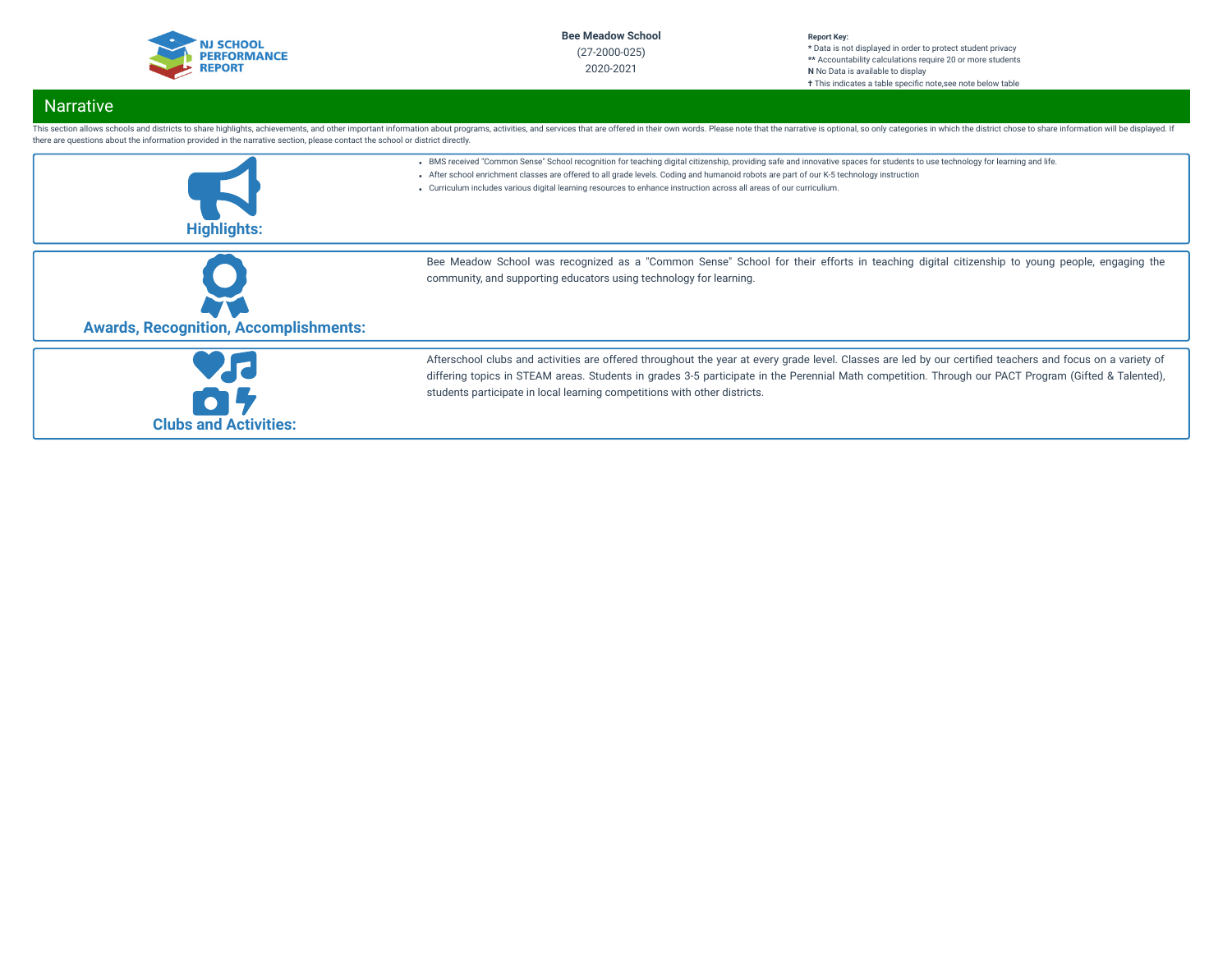

#### **Report Key: \*** Data is not displayed in order to protect student privacy **\*\*** Accountability calculations require 20 or more students **N** No Data is available to display **†** This indicates a table specic note,see note below table

# Narrative

| there are questions about the information provided in the narrative section, please contact the school or district directly. | This section allows schools and districts to share highlights, achievements, and other important information about programs, activities, and services that are offered in their own words. Please note that the narrative is o                                                                                                                                                                                                                    |
|------------------------------------------------------------------------------------------------------------------------------|---------------------------------------------------------------------------------------------------------------------------------------------------------------------------------------------------------------------------------------------------------------------------------------------------------------------------------------------------------------------------------------------------------------------------------------------------|
| <b>Highlights:</b>                                                                                                           | . BMS received "Common Sense" School recognition for teaching digital citizenship, providing safe and innovative spaces for students to use technology for learning and life.<br>- After school enrichment classes are offered to all grade levels. Coding and humanoid robots are part of our K-5 technology instruction<br>• Curriculum includes various digital learning resources to enhance instruction across all areas of our curriculium. |
| <b>Awards, Recognition, Accomplishments:</b>                                                                                 | Bee Meadow School was recognized as a "Common Sense" School for their efforts in teaching digital citizenship to young people, engaging the<br>community, and supporting educators using technology for learning.                                                                                                                                                                                                                                 |
| <b>Clubs and Activities:</b>                                                                                                 | Afterschool clubs and activities are offered throughout the year at every grade level. Classes are led by our certified teachers and focus on a variety of<br>differing topics in STEAM areas. Students in grades 3-5 participate in the Perennial Math competition. Through our PACT Program (Gifted & Talented),<br>students participate in local learning competitions with other districts.                                                   |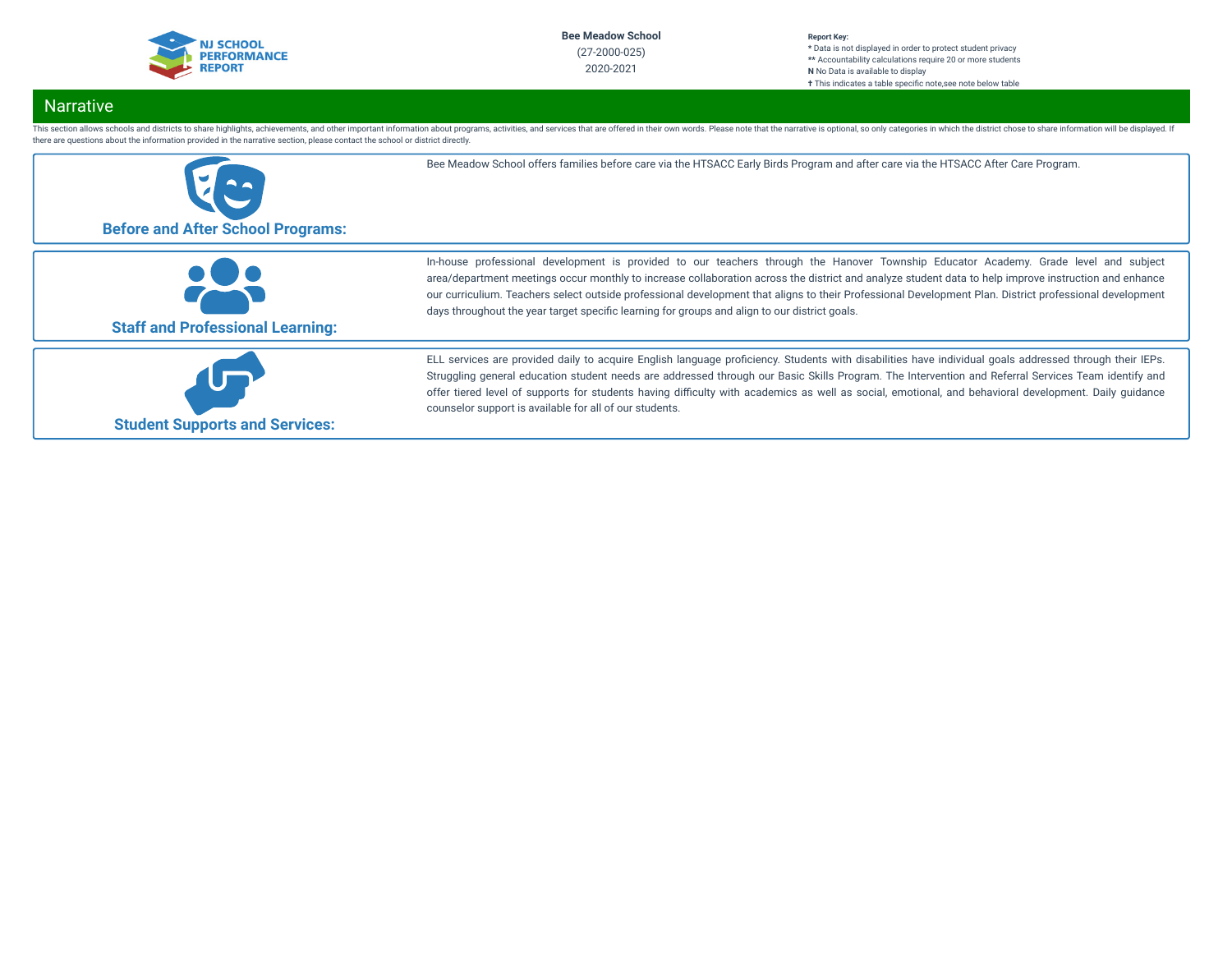

#### **Report Key: \*** Data is not displayed in order to protect student privacy **\*\*** Accountability calculations require 20 or more students **N** No Data is available to display **†** This indicates a table specific note, see note below table

# Narrative

This section allows schools and districts to share highlights, achievements, and other important information about programs, activities, and services that are offered in their own words. Please note that the narrative is o there are questions about the information provided in the narrative section, please contact the school or district directly.

| <b>Before and After School Programs:</b> | Bee Meadow School offers families before care via the HTSACC Early Birds Program and after care via the HTSACC After Care Program.                                                                                                                                                                                                                                                                                                                                                                                                                        |
|------------------------------------------|-----------------------------------------------------------------------------------------------------------------------------------------------------------------------------------------------------------------------------------------------------------------------------------------------------------------------------------------------------------------------------------------------------------------------------------------------------------------------------------------------------------------------------------------------------------|
| <b>Staff and Professional Learning:</b>  | In-house professional development is provided to our teachers through the Hanover Township Educator Academy. Grade level and subject<br>area/department meetings occur monthly to increase collaboration across the district and analyze student data to help improve instruction and enhance<br>our curriculium. Teachers select outside professional development that aligns to their Professional Development Plan. District professional development<br>days throughout the year target specific learning for groups and align to our district goals. |
| <b>Student Supports and Services:</b>    | ELL services are provided daily to acquire English language proficiency. Students with disabilities have individual goals addressed through their IEPs.<br>Struggling general education student needs are addressed through our Basic Skills Program. The Intervention and Referral Services Team identify and<br>offer tiered level of supports for students having difficulty with academics as well as social, emotional, and behavioral development. Daily guidance<br>counselor support is available for all of our students.                        |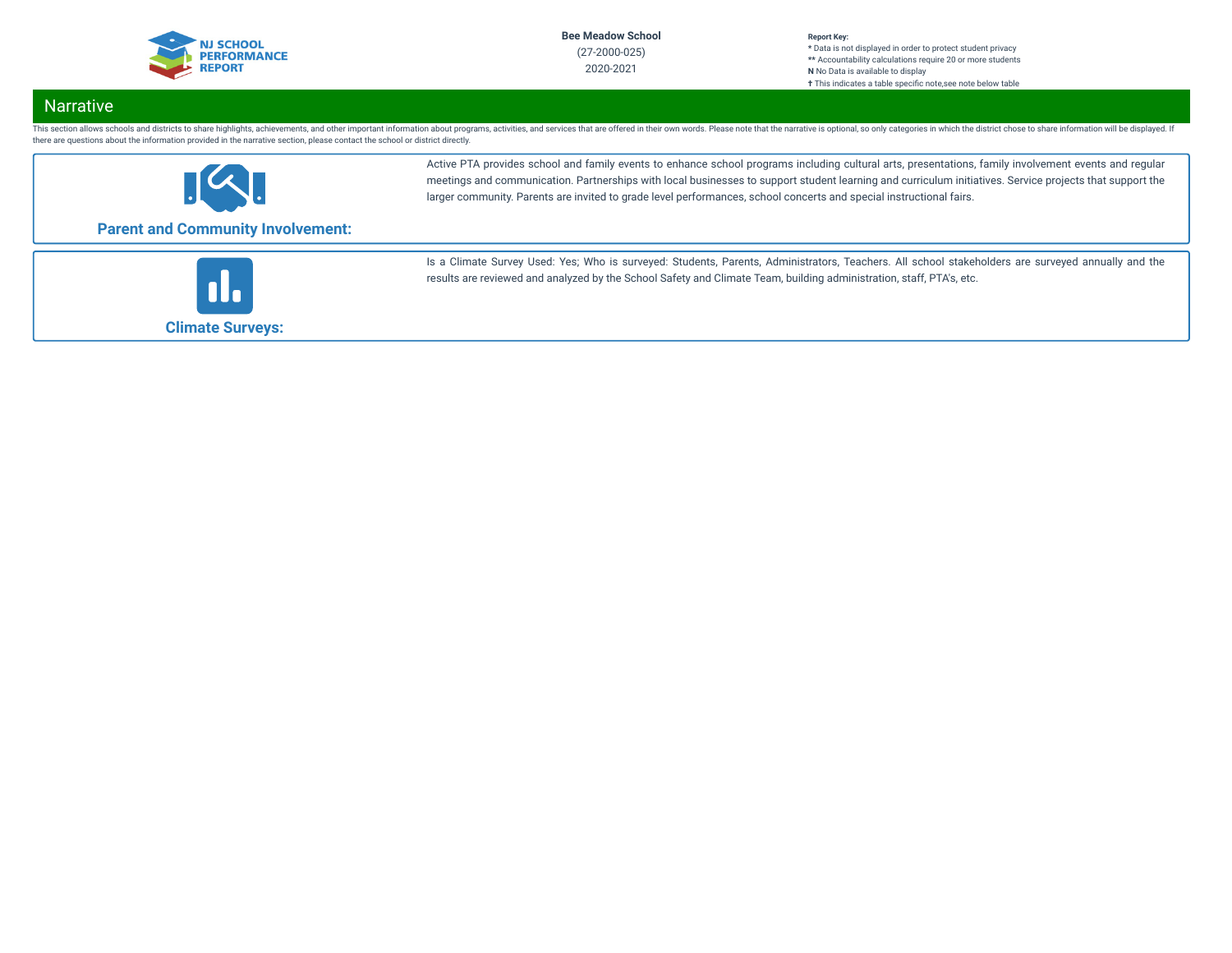

#### **Report Key: \*** Data is not displayed in order to protect student privacy **\*\*** Accountability calculations require 20 or more students **N** No Data is available to display **†** This indicates a table specific note, see note below table

# **Narrative**

This section allows schools and districts to share highlights, achievements, and other important information about programs, activities, and services that are offered in their own words. Please note that the narrative is o there are questions about the information provided in the narrative section, please contact the school or district directly.



Active PTA provides school and family events to enhance school programs including cultural arts, presentations, family involvement events and regular meetings and communication. Partnerships with local businesses to support student learning and curriculum initiatives. Service projects that support the larger community. Parents are invited to grade level performances, school concerts and special instructional fairs.

# **Parent and Community Involvement:**



Is a Climate Survey Used: Yes; Who is surveyed: Students, Parents, Administrators, Teachers. All school stakeholders are surveyed annually and the results are reviewed and analyzed by the School Safety and Climate Team, building administration, staff, PTA's, etc.